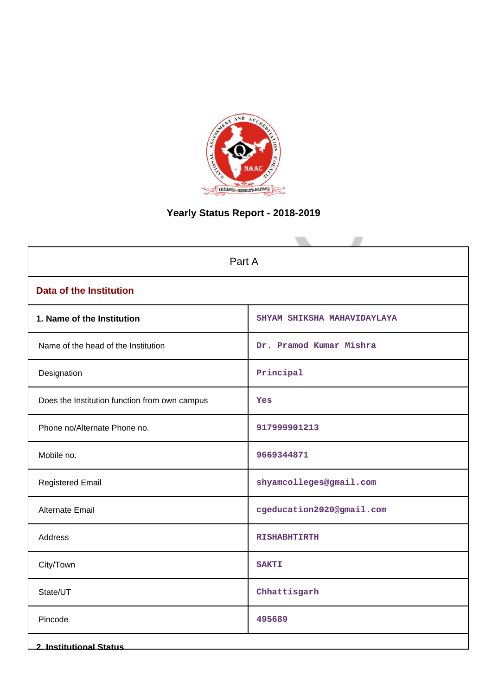

# **Yearly Status Report - 2018-2019**

| Part A                                        |                             |  |  |  |  |
|-----------------------------------------------|-----------------------------|--|--|--|--|
| <b>Data of the Institution</b>                |                             |  |  |  |  |
| 1. Name of the Institution                    | SHYAM SHIKSHA MAHAVIDAYLAYA |  |  |  |  |
| Name of the head of the Institution           | Dr. Pramod Kumar Mishra     |  |  |  |  |
| Designation                                   | Principal                   |  |  |  |  |
| Does the Institution function from own campus | Yes                         |  |  |  |  |
| Phone no/Alternate Phone no.                  | 917999901213                |  |  |  |  |
| Mobile no.                                    | 9669344871                  |  |  |  |  |
| <b>Registered Email</b>                       | shyamcolleges@gmail.com     |  |  |  |  |
| Alternate Email                               | cgeducation2020@gmail.com   |  |  |  |  |
| Address                                       | <b>RISHABHTIRTH</b>         |  |  |  |  |
| City/Town                                     | <b>SAKTI</b>                |  |  |  |  |
| State/UT                                      | Chhattisgarh                |  |  |  |  |
| Pincode                                       | 495689                      |  |  |  |  |
| <b>2. Institutional Status</b>                |                             |  |  |  |  |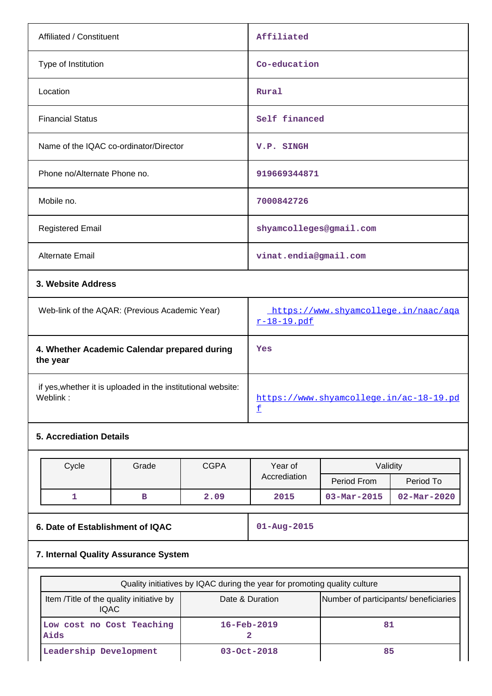| Affiliated / Constituent                                 | Affiliated                                          |
|----------------------------------------------------------|-----------------------------------------------------|
| Type of Institution                                      | Co-education                                        |
| Location                                                 | Rural                                               |
| <b>Financial Status</b>                                  | Self financed                                       |
| Name of the IQAC co-ordinator/Director                   | V.P. SINGH                                          |
| Phone no/Alternate Phone no.                             | 919669344871                                        |
| Mobile no.                                               | 7000842726                                          |
| <b>Registered Email</b>                                  | shyamcolleges@gmail.com                             |
| Alternate Email                                          | vinat.endia@gmail.com                               |
| 3. Website Address                                       |                                                     |
| Web-link of the AQAR: (Previous Academic Year)           | https://www.shyamcollege.in/naac/aga<br>r-18-19.pdf |
| 4. Whether Academic Calendar prepared during<br>the year | Yes                                                 |

 if yes,whether it is uploaded in the institutional website: Weblink: www.shyamcollege.in/ac-18-19.pd

## **5. Accrediation Details**

| Cycle | Grade | <b>CGPA</b> | Year of      | Validity                 |                          |  |  |
|-------|-------|-------------|--------------|--------------------------|--------------------------|--|--|
|       |       |             | Accrediation | Period From              | Period To                |  |  |
|       |       | 2.09        | 2015         | $03 - \text{Mar} - 2015$ | $02 - \text{Mar} - 2020$ |  |  |

 $\underline{\mathtt{f}}$ 

**6. Date of Establishment of IQAC 01-Aug-2015**

# **7. Internal Quality Assurance System**

| Quality initiatives by IQAC during the year for promoting quality culture |                                       |    |  |  |  |  |
|---------------------------------------------------------------------------|---------------------------------------|----|--|--|--|--|
| Item /Title of the quality initiative by<br>IQAC.                         | Number of participants/ beneficiaries |    |  |  |  |  |
| Low cost no Cost Teaching<br>Aids                                         | $16 - \text{Feb} - 2019$              | 81 |  |  |  |  |
| Leadership Development                                                    | $03 - Oct - 2018$                     | 85 |  |  |  |  |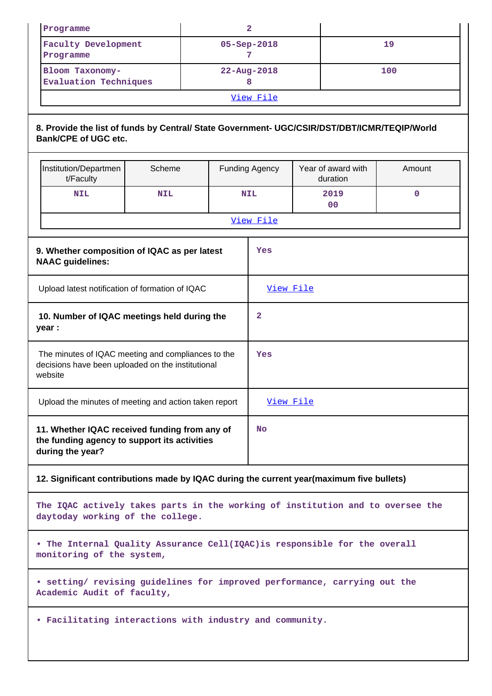|                                                                                                                    | $\mathbf{2}$<br>Programme                                                                                                   |            |  |                       |             |                                |                        |             |
|--------------------------------------------------------------------------------------------------------------------|-----------------------------------------------------------------------------------------------------------------------------|------------|--|-----------------------|-------------|--------------------------------|------------------------|-------------|
|                                                                                                                    | <b>Faculty Development</b><br>05-Sep-2018                                                                                   |            |  |                       |             | 19                             |                        |             |
|                                                                                                                    | Programme                                                                                                                   |            |  |                       | 7           |                                |                        |             |
|                                                                                                                    | Bloom Taxonomy-                                                                                                             |            |  |                       | 22-Aug-2018 |                                |                        | 100         |
|                                                                                                                    | <b>Evaluation Techniques</b>                                                                                                |            |  |                       | 8           |                                |                        |             |
|                                                                                                                    |                                                                                                                             |            |  |                       | View File   |                                |                        |             |
|                                                                                                                    | 8. Provide the list of funds by Central/ State Government- UGC/CSIR/DST/DBT/ICMR/TEQIP/World<br><b>Bank/CPE of UGC etc.</b> |            |  |                       |             |                                |                        |             |
|                                                                                                                    | Institution/Departmen<br>Scheme<br>t/Faculty                                                                                |            |  | <b>Funding Agency</b> |             | Year of award with<br>duration | Amount                 |             |
|                                                                                                                    | <b>NIL</b>                                                                                                                  | <b>NIL</b> |  |                       | <b>NIL</b>  |                                | 2019<br>0 <sup>0</sup> | $\mathbf 0$ |
|                                                                                                                    |                                                                                                                             |            |  |                       | View File   |                                |                        |             |
|                                                                                                                    | 9. Whether composition of IQAC as per latest<br><b>NAAC</b> guidelines:                                                     |            |  |                       |             |                                |                        |             |
|                                                                                                                    | Upload latest notification of formation of IQAC                                                                             |            |  |                       | View File   |                                |                        |             |
|                                                                                                                    | 10. Number of IQAC meetings held during the<br>$\overline{2}$<br>year :                                                     |            |  |                       |             |                                |                        |             |
| The minutes of IQAC meeting and compliances to the<br>decisions have been uploaded on the institutional<br>website |                                                                                                                             |            |  |                       | Yes         |                                |                        |             |
|                                                                                                                    | Upload the minutes of meeting and action taken report                                                                       |            |  |                       | View File   |                                |                        |             |
|                                                                                                                    | 11. Whether IQAC received funding from any of<br>the funding agency to support its activities<br>during the year?           |            |  |                       |             | <b>No</b>                      |                        |             |
| 12. Significant contributions made by IQAC during the current year(maximum five bullets)                           |                                                                                                                             |            |  |                       |             |                                |                        |             |
|                                                                                                                    | The IQAC actively takes parts in the working of institution and to oversee the<br>daytoday working of the college.          |            |  |                       |             |                                |                        |             |
|                                                                                                                    | . The Internal Quality Assurance Cell(IQAC) is responsible for the overall<br>monitoring of the system,                     |            |  |                       |             |                                |                        |             |
|                                                                                                                    | • setting/ revising guidelines for improved performance, carrying out the<br>Academic Audit of faculty,                     |            |  |                       |             |                                |                        |             |
|                                                                                                                    | . Facilitating interactions with industry and community.                                                                    |            |  |                       |             |                                |                        |             |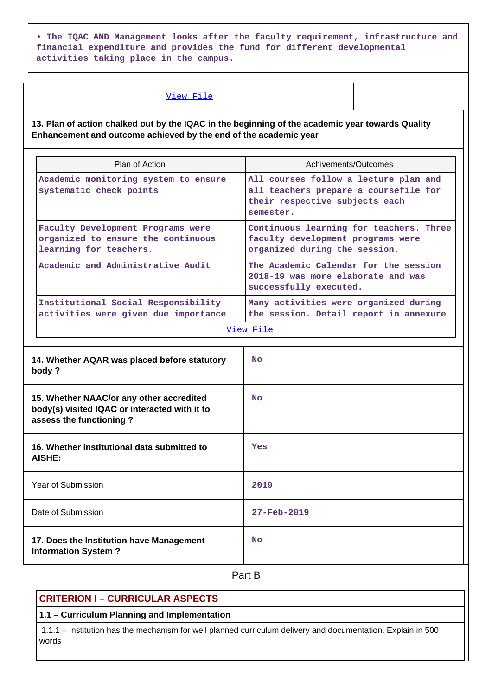**• The IQAC AND Management looks after the faculty requirement, infrastructure and financial expenditure and provides the fund for different developmental activities taking place in the campus.**

#### View File

**13. Plan of action chalked out by the IQAC in the beginning of the academic year towards Quality Enhancement and outcome achieved by the end of the academic year**

| Plan of Action                                                                                    | Achivements/Outcomes                                                                                                          |  |  |  |  |
|---------------------------------------------------------------------------------------------------|-------------------------------------------------------------------------------------------------------------------------------|--|--|--|--|
| Academic monitoring system to ensure<br>systematic check points                                   | All courses follow a lecture plan and<br>all teachers prepare a coursefile for<br>their respective subjects each<br>semester. |  |  |  |  |
| Faculty Development Programs were<br>organized to ensure the continuous<br>learning for teachers. | Continuous learning for teachers. Three<br>faculty development programs were<br>organized during the session.                 |  |  |  |  |
| Academic and Administrative Audit                                                                 | The Academic Calendar for the session<br>2018-19 was more elaborate and was<br>successfully executed.                         |  |  |  |  |
| Institutional Social Responsibility<br>activities were given due importance                       | Many activities were organized during<br>the session. Detail report in annexure                                               |  |  |  |  |
| View File                                                                                         |                                                                                                                               |  |  |  |  |
| 14. Whether AQAR was placed before statutory<br>body?                                             | N <sub>O</sub>                                                                                                                |  |  |  |  |

| 15. Whether NAAC/or any other accredited<br>body(s) visited IQAC or interacted with it to<br>assess the functioning? | <b>No</b>         |
|----------------------------------------------------------------------------------------------------------------------|-------------------|
| 16. Whether institutional data submitted to<br>AISHE:                                                                | Yes               |
| Year of Submission                                                                                                   | 2019              |
| Date of Submission                                                                                                   | $27 - Feb - 2019$ |
| 17. Does the Institution have Management<br><b>Information System?</b>                                               | <b>No</b>         |

**Part B** 

## **CRITERION I – CURRICULAR ASPECTS**

#### **1.1 – Curriculum Planning and Implementation**

 1.1.1 – Institution has the mechanism for well planned curriculum delivery and documentation. Explain in 500 words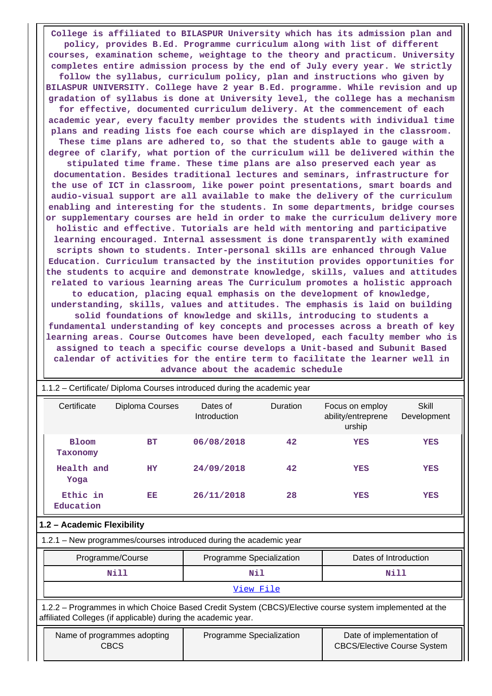**College is affiliated to BILASPUR University which has its admission plan and policy, provides B.Ed. Programme curriculum along with list of different courses, examination scheme, weightage to the theory and practicum. University completes entire admission process by the end of July every year. We strictly follow the syllabus, curriculum policy, plan and instructions who given by BILASPUR UNIVERSITY. College have 2 year B.Ed. programme. While revision and up gradation of syllabus is done at University level, the college has a mechanism for effective, documented curriculum delivery. At the commencement of each academic year, every faculty member provides the students with individual time plans and reading lists foe each course which are displayed in the classroom. These time plans are adhered to, so that the students able to gauge with a degree of clarify, what portion of the curriculum will be delivered within the stipulated time frame. These time plans are also preserved each year as documentation. Besides traditional lectures and seminars, infrastructure for the use of ICT in classroom, like power point presentations, smart boards and audio-visual support are all available to make the delivery of the curriculum enabling and interesting for the students. In some departments, bridge courses or supplementary courses are held in order to make the curriculum delivery more holistic and effective. Tutorials are held with mentoring and participative learning encouraged. Internal assessment is done transparently with examined scripts shown to students. Inter-personal skills are enhanced through Value Education. Curriculum transacted by the institution provides opportunities for the students to acquire and demonstrate knowledge, skills, values and attitudes related to various learning areas The Curriculum promotes a holistic approach to education, placing equal emphasis on the development of knowledge, understanding, skills, values and attitudes. The emphasis is laid on building solid foundations of knowledge and skills, introducing to students a fundamental understanding of key concepts and processes across a breath of key learning areas. Course Outcomes have been developed, each faculty member who is assigned to teach a specific course develops a Unit-based and Subunit Based calendar of activities for the entire term to facilitate the learner well in**

| 1.1.2 – Certificate/ Diploma Courses introduced during the academic year                                                                                                 |                                            |                                                                    |                                                                                             |                       |                      |  |  |  |
|--------------------------------------------------------------------------------------------------------------------------------------------------------------------------|--------------------------------------------|--------------------------------------------------------------------|---------------------------------------------------------------------------------------------|-----------------------|----------------------|--|--|--|
| Certificate                                                                                                                                                              | Diploma Courses                            | Dates of<br>Introduction                                           | Duration<br>Focus on employ<br>ability/entreprene<br>urship                                 |                       | Skill<br>Development |  |  |  |
| <b>Bloom</b><br>Taxonomy                                                                                                                                                 | <b>BT</b>                                  | 06/08/2018                                                         | 42<br><b>YES</b>                                                                            |                       |                      |  |  |  |
| Health and<br>Yoga                                                                                                                                                       | <b>HY</b>                                  | 24/09/2018                                                         | <b>YES</b>                                                                                  |                       |                      |  |  |  |
| Ethic in<br>Education                                                                                                                                                    | EE                                         | 28<br>26/11/2018<br><b>YES</b>                                     |                                                                                             | <b>YES</b>            |                      |  |  |  |
| 1.2 - Academic Flexibility                                                                                                                                               |                                            |                                                                    |                                                                                             |                       |                      |  |  |  |
|                                                                                                                                                                          |                                            | 1.2.1 - New programmes/courses introduced during the academic year |                                                                                             |                       |                      |  |  |  |
|                                                                                                                                                                          | Programme/Course                           | Programme Specialization                                           |                                                                                             | Dates of Introduction |                      |  |  |  |
|                                                                                                                                                                          | <b>Nill</b>                                | Nil                                                                |                                                                                             |                       | Nill                 |  |  |  |
|                                                                                                                                                                          | View File                                  |                                                                    |                                                                                             |                       |                      |  |  |  |
| 1.2.2 - Programmes in which Choice Based Credit System (CBCS)/Elective course system implemented at the<br>affiliated Colleges (if applicable) during the academic year. |                                            |                                                                    |                                                                                             |                       |                      |  |  |  |
|                                                                                                                                                                          | Name of programmes adopting<br><b>CBCS</b> |                                                                    | Date of implementation of<br>Programme Specialization<br><b>CBCS/Elective Course System</b> |                       |                      |  |  |  |

**advance about the academic schedule**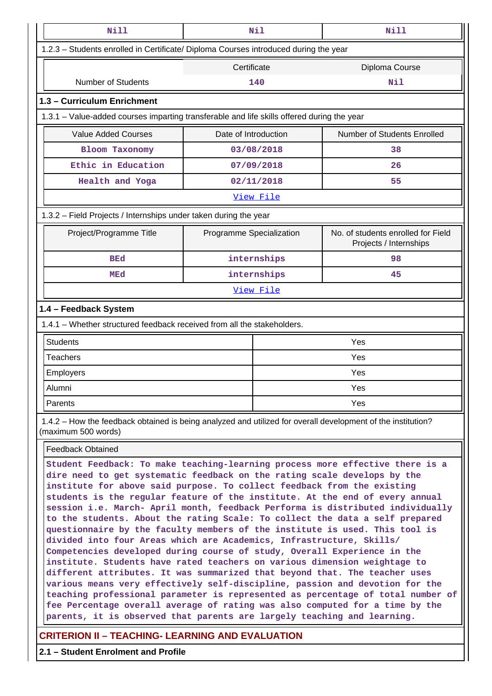| <b>Nill</b>                                                                                                                                                                                                                                                                                                                                                                                                                                                                                                                                                                                                                                                                                                                                                                                                                                                                                                                                                                                                                                                                                                                                                                                                        |                          | Nil         | <b>Nill</b>                                                  |  |  |  |
|--------------------------------------------------------------------------------------------------------------------------------------------------------------------------------------------------------------------------------------------------------------------------------------------------------------------------------------------------------------------------------------------------------------------------------------------------------------------------------------------------------------------------------------------------------------------------------------------------------------------------------------------------------------------------------------------------------------------------------------------------------------------------------------------------------------------------------------------------------------------------------------------------------------------------------------------------------------------------------------------------------------------------------------------------------------------------------------------------------------------------------------------------------------------------------------------------------------------|--------------------------|-------------|--------------------------------------------------------------|--|--|--|
| 1.2.3 - Students enrolled in Certificate/ Diploma Courses introduced during the year                                                                                                                                                                                                                                                                                                                                                                                                                                                                                                                                                                                                                                                                                                                                                                                                                                                                                                                                                                                                                                                                                                                               |                          |             |                                                              |  |  |  |
|                                                                                                                                                                                                                                                                                                                                                                                                                                                                                                                                                                                                                                                                                                                                                                                                                                                                                                                                                                                                                                                                                                                                                                                                                    | Certificate              |             | Diploma Course                                               |  |  |  |
| <b>Number of Students</b>                                                                                                                                                                                                                                                                                                                                                                                                                                                                                                                                                                                                                                                                                                                                                                                                                                                                                                                                                                                                                                                                                                                                                                                          |                          | 140         | Nil                                                          |  |  |  |
| 1.3 - Curriculum Enrichment                                                                                                                                                                                                                                                                                                                                                                                                                                                                                                                                                                                                                                                                                                                                                                                                                                                                                                                                                                                                                                                                                                                                                                                        |                          |             |                                                              |  |  |  |
| 1.3.1 – Value-added courses imparting transferable and life skills offered during the year                                                                                                                                                                                                                                                                                                                                                                                                                                                                                                                                                                                                                                                                                                                                                                                                                                                                                                                                                                                                                                                                                                                         |                          |             |                                                              |  |  |  |
| <b>Value Added Courses</b>                                                                                                                                                                                                                                                                                                                                                                                                                                                                                                                                                                                                                                                                                                                                                                                                                                                                                                                                                                                                                                                                                                                                                                                         | Date of Introduction     |             | Number of Students Enrolled                                  |  |  |  |
| <b>Bloom Taxonomy</b>                                                                                                                                                                                                                                                                                                                                                                                                                                                                                                                                                                                                                                                                                                                                                                                                                                                                                                                                                                                                                                                                                                                                                                                              |                          | 03/08/2018  | 38                                                           |  |  |  |
| Ethic in Education                                                                                                                                                                                                                                                                                                                                                                                                                                                                                                                                                                                                                                                                                                                                                                                                                                                                                                                                                                                                                                                                                                                                                                                                 |                          | 07/09/2018  | 26                                                           |  |  |  |
| Health and Yoga                                                                                                                                                                                                                                                                                                                                                                                                                                                                                                                                                                                                                                                                                                                                                                                                                                                                                                                                                                                                                                                                                                                                                                                                    |                          | 02/11/2018  | 55                                                           |  |  |  |
|                                                                                                                                                                                                                                                                                                                                                                                                                                                                                                                                                                                                                                                                                                                                                                                                                                                                                                                                                                                                                                                                                                                                                                                                                    |                          | View File   |                                                              |  |  |  |
| 1.3.2 - Field Projects / Internships under taken during the year                                                                                                                                                                                                                                                                                                                                                                                                                                                                                                                                                                                                                                                                                                                                                                                                                                                                                                                                                                                                                                                                                                                                                   |                          |             |                                                              |  |  |  |
| Project/Programme Title                                                                                                                                                                                                                                                                                                                                                                                                                                                                                                                                                                                                                                                                                                                                                                                                                                                                                                                                                                                                                                                                                                                                                                                            | Programme Specialization |             | No. of students enrolled for Field<br>Projects / Internships |  |  |  |
| <b>BEd</b>                                                                                                                                                                                                                                                                                                                                                                                                                                                                                                                                                                                                                                                                                                                                                                                                                                                                                                                                                                                                                                                                                                                                                                                                         |                          | internships | 98                                                           |  |  |  |
| MEd                                                                                                                                                                                                                                                                                                                                                                                                                                                                                                                                                                                                                                                                                                                                                                                                                                                                                                                                                                                                                                                                                                                                                                                                                |                          | internships | 45                                                           |  |  |  |
| View File                                                                                                                                                                                                                                                                                                                                                                                                                                                                                                                                                                                                                                                                                                                                                                                                                                                                                                                                                                                                                                                                                                                                                                                                          |                          |             |                                                              |  |  |  |
| 1.4 - Feedback System                                                                                                                                                                                                                                                                                                                                                                                                                                                                                                                                                                                                                                                                                                                                                                                                                                                                                                                                                                                                                                                                                                                                                                                              |                          |             |                                                              |  |  |  |
| 1.4.1 - Whether structured feedback received from all the stakeholders.                                                                                                                                                                                                                                                                                                                                                                                                                                                                                                                                                                                                                                                                                                                                                                                                                                                                                                                                                                                                                                                                                                                                            |                          |             |                                                              |  |  |  |
| <b>Students</b>                                                                                                                                                                                                                                                                                                                                                                                                                                                                                                                                                                                                                                                                                                                                                                                                                                                                                                                                                                                                                                                                                                                                                                                                    |                          |             | Yes                                                          |  |  |  |
| <b>Teachers</b>                                                                                                                                                                                                                                                                                                                                                                                                                                                                                                                                                                                                                                                                                                                                                                                                                                                                                                                                                                                                                                                                                                                                                                                                    |                          | Yes         |                                                              |  |  |  |
| Employers                                                                                                                                                                                                                                                                                                                                                                                                                                                                                                                                                                                                                                                                                                                                                                                                                                                                                                                                                                                                                                                                                                                                                                                                          |                          | Yes         |                                                              |  |  |  |
| Alumni                                                                                                                                                                                                                                                                                                                                                                                                                                                                                                                                                                                                                                                                                                                                                                                                                                                                                                                                                                                                                                                                                                                                                                                                             |                          | Yes         |                                                              |  |  |  |
| Parents                                                                                                                                                                                                                                                                                                                                                                                                                                                                                                                                                                                                                                                                                                                                                                                                                                                                                                                                                                                                                                                                                                                                                                                                            |                          |             | Yes                                                          |  |  |  |
| 1.4.2 – How the feedback obtained is being analyzed and utilized for overall development of the institution?<br>(maximum 500 words)                                                                                                                                                                                                                                                                                                                                                                                                                                                                                                                                                                                                                                                                                                                                                                                                                                                                                                                                                                                                                                                                                |                          |             |                                                              |  |  |  |
| <b>Feedback Obtained</b>                                                                                                                                                                                                                                                                                                                                                                                                                                                                                                                                                                                                                                                                                                                                                                                                                                                                                                                                                                                                                                                                                                                                                                                           |                          |             |                                                              |  |  |  |
| Student Feedback: To make teaching-learning process more effective there is a<br>dire need to get systematic feedback on the rating scale develops by the<br>institute for above said purpose. To collect feedback from the existing<br>students is the regular feature of the institute. At the end of every annual<br>session i.e. March- April month, feedback Performa is distributed individually<br>to the students. About the rating Scale: To collect the data a self prepared<br>questionnaire by the faculty members of the institute is used. This tool is<br>divided into four Areas which are Academics, Infrastructure, Skills/<br>Competencies developed during course of study, Overall Experience in the<br>institute. Students have rated teachers on various dimension weightage to<br>different attributes. It was summarized that beyond that. The teacher uses<br>various means very effectively self-discipline, passion and devotion for the<br>teaching professional parameter is represented as percentage of total number of<br>fee Percentage overall average of rating was also computed for a time by the<br>parents, it is observed that parents are largely teaching and learning. |                          |             |                                                              |  |  |  |

**CRITERION II – TEACHING- LEARNING AND EVALUATION**

**2.1 – Student Enrolment and Profile**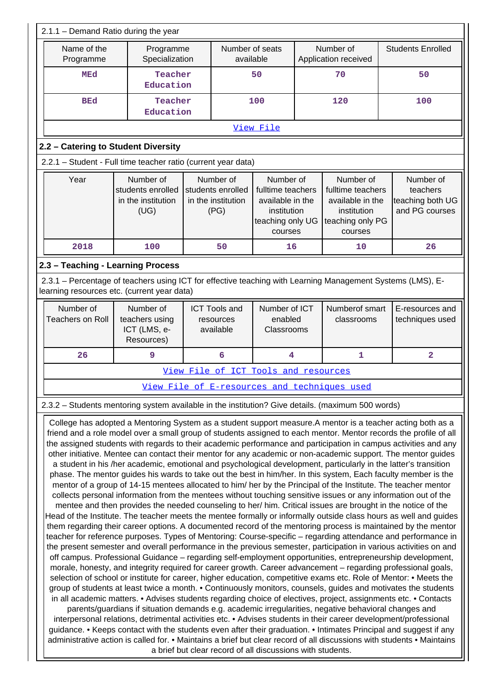|                                                                                                                                                                                                                                                                                                                                                                                                                                                                                                                                                                                                                                                                                                                                                                                                                                                                                                                                                                                                                                                                                                                                                                                                                                                                                                                                                                                                                                                                                                                                                                                                                                                                                                                                                                                                                                                                                                                                                                                                                                                                                                                                                                                                                                                                                                                                                                                                                                                                                                                                                                                                                                                                              | 2.1.1 - Demand Ratio during the year                    |                                                                                                            |                                                                                                  |                                                                                          |                                                             |                              |                                              |                                    |                |
|------------------------------------------------------------------------------------------------------------------------------------------------------------------------------------------------------------------------------------------------------------------------------------------------------------------------------------------------------------------------------------------------------------------------------------------------------------------------------------------------------------------------------------------------------------------------------------------------------------------------------------------------------------------------------------------------------------------------------------------------------------------------------------------------------------------------------------------------------------------------------------------------------------------------------------------------------------------------------------------------------------------------------------------------------------------------------------------------------------------------------------------------------------------------------------------------------------------------------------------------------------------------------------------------------------------------------------------------------------------------------------------------------------------------------------------------------------------------------------------------------------------------------------------------------------------------------------------------------------------------------------------------------------------------------------------------------------------------------------------------------------------------------------------------------------------------------------------------------------------------------------------------------------------------------------------------------------------------------------------------------------------------------------------------------------------------------------------------------------------------------------------------------------------------------------------------------------------------------------------------------------------------------------------------------------------------------------------------------------------------------------------------------------------------------------------------------------------------------------------------------------------------------------------------------------------------------------------------------------------------------------------------------------------------------|---------------------------------------------------------|------------------------------------------------------------------------------------------------------------|--------------------------------------------------------------------------------------------------|------------------------------------------------------------------------------------------|-------------------------------------------------------------|------------------------------|----------------------------------------------|------------------------------------|----------------|
|                                                                                                                                                                                                                                                                                                                                                                                                                                                                                                                                                                                                                                                                                                                                                                                                                                                                                                                                                                                                                                                                                                                                                                                                                                                                                                                                                                                                                                                                                                                                                                                                                                                                                                                                                                                                                                                                                                                                                                                                                                                                                                                                                                                                                                                                                                                                                                                                                                                                                                                                                                                                                                                                              | Name of the<br>Programme<br>Specialization<br>Programme |                                                                                                            | Number of seats<br>available                                                                     |                                                                                          | Number of<br>Application received                           |                              |                                              | <b>Students Enrolled</b>           |                |
|                                                                                                                                                                                                                                                                                                                                                                                                                                                                                                                                                                                                                                                                                                                                                                                                                                                                                                                                                                                                                                                                                                                                                                                                                                                                                                                                                                                                                                                                                                                                                                                                                                                                                                                                                                                                                                                                                                                                                                                                                                                                                                                                                                                                                                                                                                                                                                                                                                                                                                                                                                                                                                                                              | <b>MEd</b>                                              | Teacher<br>Education                                                                                       |                                                                                                  |                                                                                          | 50                                                          |                              | 70                                           | 50                                 |                |
|                                                                                                                                                                                                                                                                                                                                                                                                                                                                                                                                                                                                                                                                                                                                                                                                                                                                                                                                                                                                                                                                                                                                                                                                                                                                                                                                                                                                                                                                                                                                                                                                                                                                                                                                                                                                                                                                                                                                                                                                                                                                                                                                                                                                                                                                                                                                                                                                                                                                                                                                                                                                                                                                              | <b>BEd</b>                                              | Teacher<br>Education                                                                                       |                                                                                                  |                                                                                          | 100                                                         |                              | 120                                          |                                    | 100            |
|                                                                                                                                                                                                                                                                                                                                                                                                                                                                                                                                                                                                                                                                                                                                                                                                                                                                                                                                                                                                                                                                                                                                                                                                                                                                                                                                                                                                                                                                                                                                                                                                                                                                                                                                                                                                                                                                                                                                                                                                                                                                                                                                                                                                                                                                                                                                                                                                                                                                                                                                                                                                                                                                              |                                                         |                                                                                                            |                                                                                                  |                                                                                          | View File                                                   |                              |                                              |                                    |                |
|                                                                                                                                                                                                                                                                                                                                                                                                                                                                                                                                                                                                                                                                                                                                                                                                                                                                                                                                                                                                                                                                                                                                                                                                                                                                                                                                                                                                                                                                                                                                                                                                                                                                                                                                                                                                                                                                                                                                                                                                                                                                                                                                                                                                                                                                                                                                                                                                                                                                                                                                                                                                                                                                              | 2.2 - Catering to Student Diversity                     |                                                                                                            |                                                                                                  |                                                                                          |                                                             |                              |                                              |                                    |                |
|                                                                                                                                                                                                                                                                                                                                                                                                                                                                                                                                                                                                                                                                                                                                                                                                                                                                                                                                                                                                                                                                                                                                                                                                                                                                                                                                                                                                                                                                                                                                                                                                                                                                                                                                                                                                                                                                                                                                                                                                                                                                                                                                                                                                                                                                                                                                                                                                                                                                                                                                                                                                                                                                              |                                                         | 2.2.1 - Student - Full time teacher ratio (current year data)                                              |                                                                                                  |                                                                                          |                                                             |                              |                                              |                                    |                |
| Number of<br>Year<br>Number of<br>Number of<br>students enrolled<br>students enrolled<br>fulltime teachers<br>in the institution<br>in the institution<br>available in the<br>(UG)<br>(PG)<br>institution<br>teaching only UG<br>courses                                                                                                                                                                                                                                                                                                                                                                                                                                                                                                                                                                                                                                                                                                                                                                                                                                                                                                                                                                                                                                                                                                                                                                                                                                                                                                                                                                                                                                                                                                                                                                                                                                                                                                                                                                                                                                                                                                                                                                                                                                                                                                                                                                                                                                                                                                                                                                                                                                     |                                                         |                                                                                                            | Number of<br>fulltime teachers<br>available in the<br>institution<br>teaching only PG<br>courses |                                                                                          | Number of<br>teachers<br>teaching both UG<br>and PG courses |                              |                                              |                                    |                |
|                                                                                                                                                                                                                                                                                                                                                                                                                                                                                                                                                                                                                                                                                                                                                                                                                                                                                                                                                                                                                                                                                                                                                                                                                                                                                                                                                                                                                                                                                                                                                                                                                                                                                                                                                                                                                                                                                                                                                                                                                                                                                                                                                                                                                                                                                                                                                                                                                                                                                                                                                                                                                                                                              | 2018                                                    | 100                                                                                                        |                                                                                                  | 50                                                                                       | 16                                                          |                              | 10                                           |                                    | 26             |
|                                                                                                                                                                                                                                                                                                                                                                                                                                                                                                                                                                                                                                                                                                                                                                                                                                                                                                                                                                                                                                                                                                                                                                                                                                                                                                                                                                                                                                                                                                                                                                                                                                                                                                                                                                                                                                                                                                                                                                                                                                                                                                                                                                                                                                                                                                                                                                                                                                                                                                                                                                                                                                                                              | 2.3 - Teaching - Learning Process                       |                                                                                                            |                                                                                                  |                                                                                          |                                                             |                              |                                              |                                    |                |
|                                                                                                                                                                                                                                                                                                                                                                                                                                                                                                                                                                                                                                                                                                                                                                                                                                                                                                                                                                                                                                                                                                                                                                                                                                                                                                                                                                                                                                                                                                                                                                                                                                                                                                                                                                                                                                                                                                                                                                                                                                                                                                                                                                                                                                                                                                                                                                                                                                                                                                                                                                                                                                                                              |                                                         | 2.3.1 - Percentage of teachers using ICT for effective teaching with Learning Management Systems (LMS), E- |                                                                                                  |                                                                                          |                                                             |                              |                                              |                                    |                |
|                                                                                                                                                                                                                                                                                                                                                                                                                                                                                                                                                                                                                                                                                                                                                                                                                                                                                                                                                                                                                                                                                                                                                                                                                                                                                                                                                                                                                                                                                                                                                                                                                                                                                                                                                                                                                                                                                                                                                                                                                                                                                                                                                                                                                                                                                                                                                                                                                                                                                                                                                                                                                                                                              |                                                         | learning resources etc. (current year data)                                                                |                                                                                                  |                                                                                          |                                                             |                              |                                              |                                    |                |
|                                                                                                                                                                                                                                                                                                                                                                                                                                                                                                                                                                                                                                                                                                                                                                                                                                                                                                                                                                                                                                                                                                                                                                                                                                                                                                                                                                                                                                                                                                                                                                                                                                                                                                                                                                                                                                                                                                                                                                                                                                                                                                                                                                                                                                                                                                                                                                                                                                                                                                                                                                                                                                                                              | Number of<br><b>Teachers on Roll</b>                    | Number of<br>teachers using<br>ICT (LMS, e-<br>Resources)                                                  |                                                                                                  | Number of ICT<br><b>ICT Tools and</b><br>enabled<br>resources<br>available<br>Classrooms |                                                             | Numberof smart<br>classrooms |                                              | E-resources and<br>techniques used |                |
|                                                                                                                                                                                                                                                                                                                                                                                                                                                                                                                                                                                                                                                                                                                                                                                                                                                                                                                                                                                                                                                                                                                                                                                                                                                                                                                                                                                                                                                                                                                                                                                                                                                                                                                                                                                                                                                                                                                                                                                                                                                                                                                                                                                                                                                                                                                                                                                                                                                                                                                                                                                                                                                                              | 26                                                      | 9                                                                                                          |                                                                                                  | 6                                                                                        | 4                                                           |                              | $\mathbf{1}$                                 |                                    | $\overline{2}$ |
|                                                                                                                                                                                                                                                                                                                                                                                                                                                                                                                                                                                                                                                                                                                                                                                                                                                                                                                                                                                                                                                                                                                                                                                                                                                                                                                                                                                                                                                                                                                                                                                                                                                                                                                                                                                                                                                                                                                                                                                                                                                                                                                                                                                                                                                                                                                                                                                                                                                                                                                                                                                                                                                                              |                                                         |                                                                                                            |                                                                                                  | View File of ICT Tools and resources                                                     |                                                             |                              |                                              |                                    |                |
|                                                                                                                                                                                                                                                                                                                                                                                                                                                                                                                                                                                                                                                                                                                                                                                                                                                                                                                                                                                                                                                                                                                                                                                                                                                                                                                                                                                                                                                                                                                                                                                                                                                                                                                                                                                                                                                                                                                                                                                                                                                                                                                                                                                                                                                                                                                                                                                                                                                                                                                                                                                                                                                                              |                                                         |                                                                                                            |                                                                                                  |                                                                                          |                                                             |                              | View File of E-resources and techniques used |                                    |                |
|                                                                                                                                                                                                                                                                                                                                                                                                                                                                                                                                                                                                                                                                                                                                                                                                                                                                                                                                                                                                                                                                                                                                                                                                                                                                                                                                                                                                                                                                                                                                                                                                                                                                                                                                                                                                                                                                                                                                                                                                                                                                                                                                                                                                                                                                                                                                                                                                                                                                                                                                                                                                                                                                              |                                                         | 2.3.2 - Students mentoring system available in the institution? Give details. (maximum 500 words)          |                                                                                                  |                                                                                          |                                                             |                              |                                              |                                    |                |
| College has adopted a Mentoring System as a student support measure. A mentor is a teacher acting both as a<br>friend and a role model over a small group of students assigned to each mentor. Mentor records the profile of all<br>the assigned students with regards to their academic performance and participation in campus activities and any<br>other initiative. Mentee can contact their mentor for any academic or non-academic support. The mentor guides<br>a student in his /her academic, emotional and psychological development, particularly in the latter's transition<br>phase. The mentor guides his wards to take out the best in him/her. In this system, Each faculty member is the<br>mentor of a group of 14-15 mentees allocated to him/ her by the Principal of the Institute. The teacher mentor<br>collects personal information from the mentees without touching sensitive issues or any information out of the<br>mentee and then provides the needed counseling to her/ him. Critical issues are brought in the notice of the<br>Head of the Institute. The teacher meets the mentee formally or informally outside class hours as well and guides<br>them regarding their career options. A documented record of the mentoring process is maintained by the mentor<br>teacher for reference purposes. Types of Mentoring: Course-specific - regarding attendance and performance in<br>the present semester and overall performance in the previous semester, participation in various activities on and<br>off campus. Professional Guidance - regarding self-employment opportunities, entrepreneurship development,<br>morale, honesty, and integrity required for career growth. Career advancement - regarding professional goals,<br>selection of school or institute for career, higher education, competitive exams etc. Role of Mentor: • Meets the<br>group of students at least twice a month. • Continuously monitors, counsels, guides and motivates the students<br>in all academic matters. • Advises students regarding choice of electives, project, assignments etc. • Contacts<br>parents/guardians if situation demands e.g. academic irregularities, negative behavioral changes and<br>interpersonal relations, detrimental activities etc. • Advises students in their career development/professional<br>guidance. • Keeps contact with the students even after their graduation. • Intimates Principal and suggest if any<br>administrative action is called for. • Maintains a brief but clear record of all discussions with students • Maintains<br>a brief but clear record of all discussions with students. |                                                         |                                                                                                            |                                                                                                  |                                                                                          |                                                             |                              |                                              |                                    |                |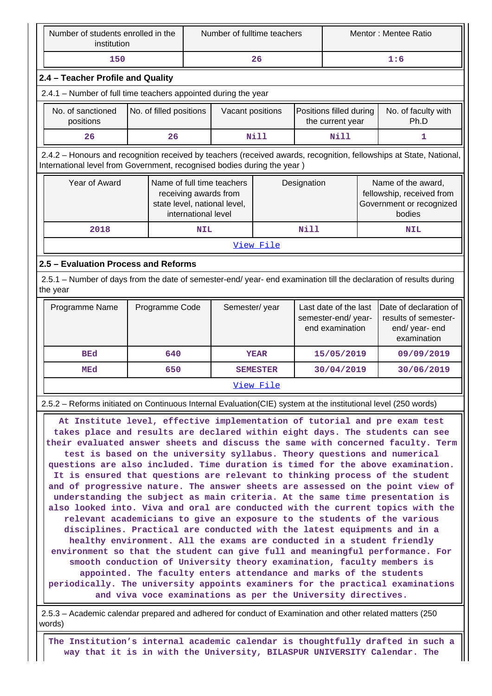| Number of students enrolled in the<br>institution                                                                                                                                                                                                                                                                                                                                                                                                                                                                                                                                                                                                                                                                                                                                                                                                                                                                                                                                                                                                                                                                                                                                                                                                                                                                                                                    |                                                                                                                           | Number of fulltime teachers |                                                                                     |                 |             | Mentor: Mentee Ratio                                                            |  |                                                                                       |
|----------------------------------------------------------------------------------------------------------------------------------------------------------------------------------------------------------------------------------------------------------------------------------------------------------------------------------------------------------------------------------------------------------------------------------------------------------------------------------------------------------------------------------------------------------------------------------------------------------------------------------------------------------------------------------------------------------------------------------------------------------------------------------------------------------------------------------------------------------------------------------------------------------------------------------------------------------------------------------------------------------------------------------------------------------------------------------------------------------------------------------------------------------------------------------------------------------------------------------------------------------------------------------------------------------------------------------------------------------------------|---------------------------------------------------------------------------------------------------------------------------|-----------------------------|-------------------------------------------------------------------------------------|-----------------|-------------|---------------------------------------------------------------------------------|--|---------------------------------------------------------------------------------------|
| 150                                                                                                                                                                                                                                                                                                                                                                                                                                                                                                                                                                                                                                                                                                                                                                                                                                                                                                                                                                                                                                                                                                                                                                                                                                                                                                                                                                  |                                                                                                                           |                             |                                                                                     | 26              |             | 1:6                                                                             |  |                                                                                       |
| 2.4 - Teacher Profile and Quality                                                                                                                                                                                                                                                                                                                                                                                                                                                                                                                                                                                                                                                                                                                                                                                                                                                                                                                                                                                                                                                                                                                                                                                                                                                                                                                                    |                                                                                                                           |                             |                                                                                     |                 |             |                                                                                 |  |                                                                                       |
| 2.4.1 - Number of full time teachers appointed during the year                                                                                                                                                                                                                                                                                                                                                                                                                                                                                                                                                                                                                                                                                                                                                                                                                                                                                                                                                                                                                                                                                                                                                                                                                                                                                                       |                                                                                                                           |                             |                                                                                     |                 |             |                                                                                 |  |                                                                                       |
| No. of sanctioned<br>positions                                                                                                                                                                                                                                                                                                                                                                                                                                                                                                                                                                                                                                                                                                                                                                                                                                                                                                                                                                                                                                                                                                                                                                                                                                                                                                                                       | No. of filled positions<br>Positions filled during<br>No. of faculty with<br>Vacant positions<br>the current year<br>Ph.D |                             |                                                                                     |                 |             |                                                                                 |  |                                                                                       |
| 26                                                                                                                                                                                                                                                                                                                                                                                                                                                                                                                                                                                                                                                                                                                                                                                                                                                                                                                                                                                                                                                                                                                                                                                                                                                                                                                                                                   | 26                                                                                                                        |                             |                                                                                     | <b>Nill</b>     |             | <b>Nill</b>                                                                     |  | 1                                                                                     |
| 2.4.2 - Honours and recognition received by teachers (received awards, recognition, fellowships at State, National,<br>International level from Government, recognised bodies during the year)                                                                                                                                                                                                                                                                                                                                                                                                                                                                                                                                                                                                                                                                                                                                                                                                                                                                                                                                                                                                                                                                                                                                                                       |                                                                                                                           |                             |                                                                                     |                 |             |                                                                                 |  |                                                                                       |
| Year of Award                                                                                                                                                                                                                                                                                                                                                                                                                                                                                                                                                                                                                                                                                                                                                                                                                                                                                                                                                                                                                                                                                                                                                                                                                                                                                                                                                        |                                                                                                                           | international level         | Name of full time teachers<br>receiving awards from<br>state level, national level, |                 | Designation |                                                                                 |  | Name of the award,<br>fellowship, received from<br>Government or recognized<br>bodies |
| 2018                                                                                                                                                                                                                                                                                                                                                                                                                                                                                                                                                                                                                                                                                                                                                                                                                                                                                                                                                                                                                                                                                                                                                                                                                                                                                                                                                                 |                                                                                                                           | <b>NIL</b>                  |                                                                                     |                 | Nill        |                                                                                 |  | <b>NIL</b>                                                                            |
|                                                                                                                                                                                                                                                                                                                                                                                                                                                                                                                                                                                                                                                                                                                                                                                                                                                                                                                                                                                                                                                                                                                                                                                                                                                                                                                                                                      |                                                                                                                           |                             |                                                                                     | View File       |             |                                                                                 |  |                                                                                       |
| 2.5 - Evaluation Process and Reforms                                                                                                                                                                                                                                                                                                                                                                                                                                                                                                                                                                                                                                                                                                                                                                                                                                                                                                                                                                                                                                                                                                                                                                                                                                                                                                                                 |                                                                                                                           |                             |                                                                                     |                 |             |                                                                                 |  |                                                                                       |
| 2.5.1 - Number of days from the date of semester-end/ year- end examination till the declaration of results during<br>the year                                                                                                                                                                                                                                                                                                                                                                                                                                                                                                                                                                                                                                                                                                                                                                                                                                                                                                                                                                                                                                                                                                                                                                                                                                       |                                                                                                                           |                             |                                                                                     |                 |             |                                                                                 |  |                                                                                       |
| Programme Name                                                                                                                                                                                                                                                                                                                                                                                                                                                                                                                                                                                                                                                                                                                                                                                                                                                                                                                                                                                                                                                                                                                                                                                                                                                                                                                                                       | Programme Code                                                                                                            |                             | Semester/year<br>Last date of the last<br>semester-end/year-<br>end examination     |                 |             | Date of declaration of<br>results of semester-<br>end/ year- end<br>examination |  |                                                                                       |
| <b>BEd</b>                                                                                                                                                                                                                                                                                                                                                                                                                                                                                                                                                                                                                                                                                                                                                                                                                                                                                                                                                                                                                                                                                                                                                                                                                                                                                                                                                           | 640                                                                                                                       |                             |                                                                                     | <b>YEAR</b>     |             | 15/05/2019                                                                      |  | 09/09/2019                                                                            |
| MEd                                                                                                                                                                                                                                                                                                                                                                                                                                                                                                                                                                                                                                                                                                                                                                                                                                                                                                                                                                                                                                                                                                                                                                                                                                                                                                                                                                  | 650                                                                                                                       |                             |                                                                                     | <b>SEMESTER</b> |             | 30/04/2019                                                                      |  | 30/06/2019                                                                            |
|                                                                                                                                                                                                                                                                                                                                                                                                                                                                                                                                                                                                                                                                                                                                                                                                                                                                                                                                                                                                                                                                                                                                                                                                                                                                                                                                                                      |                                                                                                                           |                             |                                                                                     | View File       |             |                                                                                 |  |                                                                                       |
| 2.5.2 – Reforms initiated on Continuous Internal Evaluation (CIE) system at the institutional level (250 words)                                                                                                                                                                                                                                                                                                                                                                                                                                                                                                                                                                                                                                                                                                                                                                                                                                                                                                                                                                                                                                                                                                                                                                                                                                                      |                                                                                                                           |                             |                                                                                     |                 |             |                                                                                 |  |                                                                                       |
| At Institute level, effective implementation of tutorial and pre exam test<br>takes place and results are declared within eight days. The students can see<br>their evaluated answer sheets and discuss the same with concerned faculty. Term<br>test is based on the university syllabus. Theory questions and numerical<br>questions are also included. Time duration is timed for the above examination.<br>It is ensured that questions are relevant to thinking process of the student<br>and of progressive nature. The answer sheets are assessed on the point view of<br>understanding the subject as main criteria. At the same time presentation is<br>also looked into. Viva and oral are conducted with the current topics with the<br>relevant academicians to give an exposure to the students of the various<br>disciplines. Practical are conducted with the latest equipments and in a<br>healthy environment. All the exams are conducted in a student friendly<br>environment so that the student can give full and meaningful performance. For<br>smooth conduction of University theory examination, faculty members is<br>appointed. The faculty enters attendance and marks of the students<br>periodically. The university appoints examiners for the practical examinations<br>and viva voce examinations as per the University directives. |                                                                                                                           |                             |                                                                                     |                 |             |                                                                                 |  |                                                                                       |
| 2.5.3 – Academic calendar prepared and adhered for conduct of Examination and other related matters (250<br>words)                                                                                                                                                                                                                                                                                                                                                                                                                                                                                                                                                                                                                                                                                                                                                                                                                                                                                                                                                                                                                                                                                                                                                                                                                                                   |                                                                                                                           |                             |                                                                                     |                 |             |                                                                                 |  |                                                                                       |
| The Institution's internal academic calendar is thoughtfully drafted in such a<br>way that it is in with the University, BILASPUR UNIVERSITY Calendar. The                                                                                                                                                                                                                                                                                                                                                                                                                                                                                                                                                                                                                                                                                                                                                                                                                                                                                                                                                                                                                                                                                                                                                                                                           |                                                                                                                           |                             |                                                                                     |                 |             |                                                                                 |  |                                                                                       |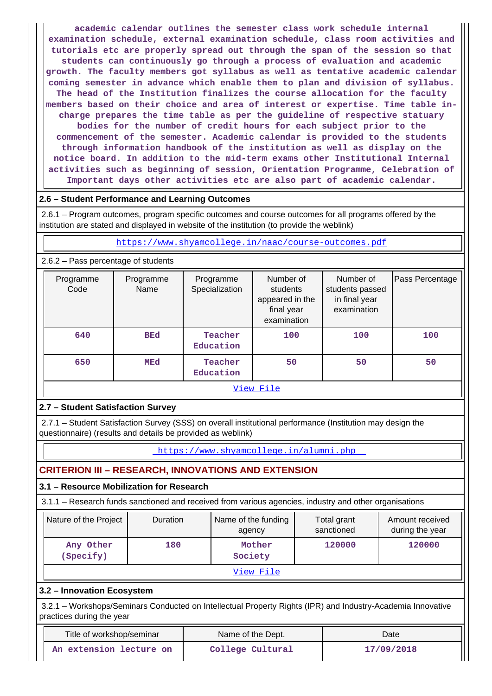**academic calendar outlines the semester class work schedule internal examination schedule, external examination schedule, class room activities and tutorials etc are properly spread out through the span of the session so that students can continuously go through a process of evaluation and academic growth. The faculty members got syllabus as well as tentative academic calendar coming semester in advance which enable them to plan and division of syllabus. The head of the Institution finalizes the course allocation for the faculty members based on their choice and area of interest or expertise. Time table incharge prepares the time table as per the guideline of respective statuary bodies for the number of credit hours for each subject prior to the commencement of the semester. Academic calendar is provided to the students through information handbook of the institution as well as display on the notice board. In addition to the mid-term exams other Institutional Internal activities such as beginning of session, Orientation Programme, Celebration of Important days other activities etc are also part of academic calendar.**

### **2.6 – Student Performance and Learning Outcomes**

 2.6.1 – Program outcomes, program specific outcomes and course outcomes for all programs offered by the institution are stated and displayed in website of the institution (to provide the weblink)

https://www.shyamcollege.in/naac/course-outcomes.pdf

| 2.6.2 - Pass percentage of students |  |  |
|-------------------------------------|--|--|
|-------------------------------------|--|--|

| Programme<br>Code | Programme<br>Name | Programme<br>Specialization | Number of<br>students<br>appeared in the<br>final year<br>examination | Number of<br>students passed<br>in final year<br>examination | Pass Percentage |  |  |
|-------------------|-------------------|-----------------------------|-----------------------------------------------------------------------|--------------------------------------------------------------|-----------------|--|--|
| 640               | <b>BEd</b>        | Teacher<br>Education        | 100                                                                   | 100                                                          | 100             |  |  |
| 650               | MEd               | Teacher<br>Education        | 50                                                                    | 50                                                           | 50              |  |  |
|                   |                   |                             | View File                                                             |                                                              |                 |  |  |

## **2.7 – Student Satisfaction Survey**

 2.7.1 – Student Satisfaction Survey (SSS) on overall institutional performance (Institution may design the questionnaire) (results and details be provided as weblink)

https://www.shyamcollege.in/alumni.php

## **CRITERION III – RESEARCH, INNOVATIONS AND EXTENSION**

## **3.1 – Resource Mobilization for Research**

3.1.1 – Research funds sanctioned and received from various agencies, industry and other organisations

| Nature of the Project  | <b>Duration</b> | Name of the funding<br>agency | Total grant<br>sanctioned | Amount received<br>during the year |  |
|------------------------|-----------------|-------------------------------|---------------------------|------------------------------------|--|
| Any Other<br>(Specify) | 180             | Mother<br>Society             | 120000                    | 120000                             |  |
|                        |                 | View File                     |                           |                                    |  |

#### **3.2 – Innovation Ecosystem**

 3.2.1 – Workshops/Seminars Conducted on Intellectual Property Rights (IPR) and Industry-Academia Innovative practices during the year

| Title of workshop/seminar | Name of the Dept. | Date       |  |  |
|---------------------------|-------------------|------------|--|--|
| An extension lecture on   | College Cultural  | 17/09/2018 |  |  |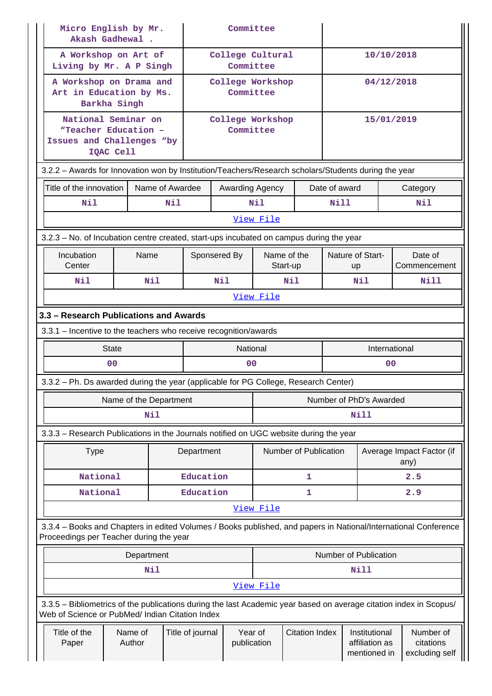| Micro English by Mr.<br>Akash Gadhewal.                                                                                                                               |                        |                 |                               | Committee                     |           |                         |               |                                                 |               |                                          |
|-----------------------------------------------------------------------------------------------------------------------------------------------------------------------|------------------------|-----------------|-------------------------------|-------------------------------|-----------|-------------------------|---------------|-------------------------------------------------|---------------|------------------------------------------|
| A Workshop on Art of<br>Living by Mr. A P Singh                                                                                                                       |                        |                 |                               | College Cultural<br>Committee |           |                         |               | 10/10/2018                                      |               |                                          |
| A Workshop on Drama and<br>Art in Education by Ms.<br>Barkha Singh                                                                                                    |                        |                 | College Workshop<br>Committee |                               |           | 04/12/2018              |               |                                                 |               |                                          |
| National Seminar on<br>"Teacher Education -<br>Issues and Challenges "by<br>IQAC Cell                                                                                 |                        |                 | College Workshop<br>Committee |                               |           | 15/01/2019              |               |                                                 |               |                                          |
| 3.2.2 - Awards for Innovation won by Institution/Teachers/Research scholars/Students during the year                                                                  |                        |                 |                               |                               |           |                         |               |                                                 |               |                                          |
| Title of the innovation                                                                                                                                               |                        | Name of Awardee |                               | Awarding Agency               |           |                         | Date of award |                                                 |               | Category                                 |
| Nil                                                                                                                                                                   | Nil                    |                 |                               |                               | Nil       |                         | Nill          |                                                 |               | Nil                                      |
|                                                                                                                                                                       |                        |                 |                               |                               | View File |                         |               |                                                 |               |                                          |
| 3.2.3 – No. of Incubation centre created, start-ups incubated on campus during the year                                                                               |                        |                 |                               |                               |           |                         |               |                                                 |               |                                          |
| Incubation<br>Center                                                                                                                                                  | Name                   |                 |                               | Sponsered By                  |           | Name of the<br>Start-up |               | Nature of Start-<br><b>up</b>                   |               | Date of<br>Commencement                  |
| N11                                                                                                                                                                   | Nil                    |                 |                               | Nil                           |           | Nil                     |               | N11                                             | Nill          |                                          |
|                                                                                                                                                                       | View File              |                 |                               |                               |           |                         |               |                                                 |               |                                          |
| 3.3 - Research Publications and Awards                                                                                                                                |                        |                 |                               |                               |           |                         |               |                                                 |               |                                          |
| 3.3.1 - Incentive to the teachers who receive recognition/awards                                                                                                      |                        |                 |                               |                               |           |                         |               |                                                 |               |                                          |
| <b>State</b>                                                                                                                                                          |                        |                 |                               | National                      |           |                         |               |                                                 | International |                                          |
| 0 <sub>0</sub>                                                                                                                                                        |                        |                 | 0 <sub>0</sub>                |                               |           |                         |               | 0 <sub>0</sub>                                  |               |                                          |
| 3.3.2 – Ph. Ds awarded during the year (applicable for PG College, Research Center)                                                                                   |                        |                 |                               |                               |           |                         |               |                                                 |               |                                          |
|                                                                                                                                                                       | Name of the Department |                 |                               |                               |           |                         |               | Number of PhD's Awarded                         |               |                                          |
|                                                                                                                                                                       | Nil                    |                 |                               |                               |           |                         | Nill          |                                                 |               |                                          |
| 3.3.3 - Research Publications in the Journals notified on UGC website during the year                                                                                 |                        |                 |                               |                               |           |                         |               |                                                 |               |                                          |
| <b>Type</b>                                                                                                                                                           |                        |                 | Department                    |                               |           | Number of Publication   |               |                                                 | any)          | Average Impact Factor (if                |
| National                                                                                                                                                              |                        |                 | Education                     |                               |           | 1                       |               |                                                 |               | 2.5                                      |
| National                                                                                                                                                              |                        |                 | Education                     |                               |           | 1                       |               |                                                 |               | 2.9                                      |
|                                                                                                                                                                       |                        |                 |                               |                               | View File |                         |               |                                                 |               |                                          |
| 3.3.4 - Books and Chapters in edited Volumes / Books published, and papers in National/International Conference<br>Proceedings per Teacher during the year            |                        |                 |                               |                               |           |                         |               |                                                 |               |                                          |
|                                                                                                                                                                       | Department             |                 |                               |                               |           |                         |               | Number of Publication                           |               |                                          |
|                                                                                                                                                                       | Nil                    |                 |                               |                               |           |                         |               | Nill                                            |               |                                          |
|                                                                                                                                                                       |                        |                 |                               |                               | View File |                         |               |                                                 |               |                                          |
| 3.3.5 - Bibliometrics of the publications during the last Academic year based on average citation index in Scopus/<br>Web of Science or PubMed/ Indian Citation Index |                        |                 |                               |                               |           |                         |               |                                                 |               |                                          |
| Title of the<br>Paper                                                                                                                                                 | Name of<br>Author      |                 | Title of journal              | Year of<br>publication        |           | <b>Citation Index</b>   |               | Institutional<br>affiliation as<br>mentioned in |               | Number of<br>citations<br>excluding self |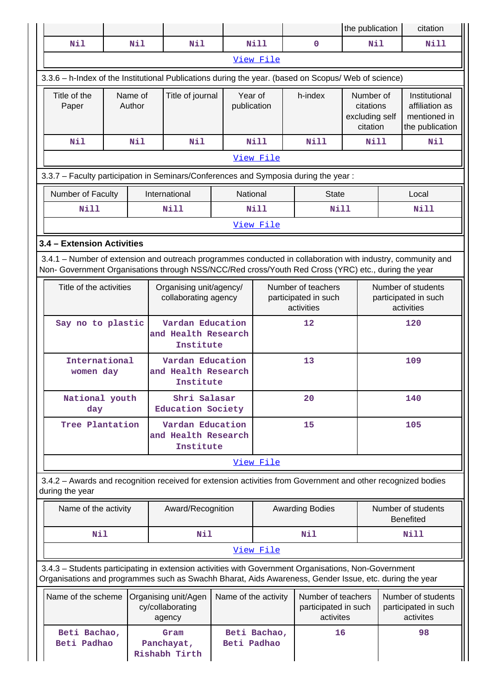|                                                                                                                                                                                                                    |  |                   |  |                                                      |  |                             |                                                          |                                                         | the publication                                      |                                                          | citation                                                           |  |
|--------------------------------------------------------------------------------------------------------------------------------------------------------------------------------------------------------------------|--|-------------------|--|------------------------------------------------------|--|-----------------------------|----------------------------------------------------------|---------------------------------------------------------|------------------------------------------------------|----------------------------------------------------------|--------------------------------------------------------------------|--|
| Nil                                                                                                                                                                                                                |  | Nil               |  | Nil                                                  |  | Nill                        |                                                          | $\mathbf 0$                                             | Nil                                                  |                                                          | <b>Nill</b>                                                        |  |
|                                                                                                                                                                                                                    |  |                   |  |                                                      |  | View File                   |                                                          |                                                         |                                                      |                                                          |                                                                    |  |
| 3.3.6 - h-Index of the Institutional Publications during the year. (based on Scopus/ Web of science)                                                                                                               |  |                   |  |                                                      |  |                             |                                                          |                                                         |                                                      |                                                          |                                                                    |  |
| Title of the<br>Paper                                                                                                                                                                                              |  | Name of<br>Author |  | Title of journal                                     |  | Year of<br>publication      |                                                          | h-index                                                 | Number of<br>citations<br>excluding self<br>citation |                                                          | Institutional<br>affiliation as<br>mentioned in<br>the publication |  |
| Nil                                                                                                                                                                                                                |  | Nil               |  | Nil                                                  |  | <b>Nill</b>                 |                                                          | N11                                                     | <b>Nill</b>                                          |                                                          | N11                                                                |  |
|                                                                                                                                                                                                                    |  |                   |  |                                                      |  | View File                   |                                                          |                                                         |                                                      |                                                          |                                                                    |  |
| 3.3.7 - Faculty participation in Seminars/Conferences and Symposia during the year:                                                                                                                                |  |                   |  |                                                      |  |                             |                                                          |                                                         |                                                      |                                                          |                                                                    |  |
| Number of Faculty                                                                                                                                                                                                  |  |                   |  | International                                        |  | National                    |                                                          | <b>State</b>                                            |                                                      |                                                          | Local                                                              |  |
| <b>Nill</b>                                                                                                                                                                                                        |  |                   |  | <b>Nill</b>                                          |  | <b>Nill</b>                 |                                                          | <b>Nill</b>                                             |                                                      |                                                          | <b>Nill</b>                                                        |  |
|                                                                                                                                                                                                                    |  |                   |  |                                                      |  | View File                   |                                                          |                                                         |                                                      |                                                          |                                                                    |  |
| 3.4 - Extension Activities                                                                                                                                                                                         |  |                   |  |                                                      |  |                             |                                                          |                                                         |                                                      |                                                          |                                                                    |  |
| 3.4.1 - Number of extension and outreach programmes conducted in collaboration with industry, community and<br>Non- Government Organisations through NSS/NCC/Red cross/Youth Red Cross (YRC) etc., during the year |  |                   |  |                                                      |  |                             |                                                          |                                                         |                                                      |                                                          |                                                                    |  |
| Title of the activities                                                                                                                                                                                            |  |                   |  | Organising unit/agency/<br>collaborating agency      |  |                             | Number of teachers<br>participated in such<br>activities |                                                         |                                                      | Number of students<br>participated in such<br>activities |                                                                    |  |
| Say no to plastic                                                                                                                                                                                                  |  |                   |  | Vardan Education<br>and Health Research<br>Institute |  |                             | 12                                                       |                                                         |                                                      | 120                                                      |                                                                    |  |
| International<br>women day                                                                                                                                                                                         |  |                   |  | Vardan Education<br>and Health Research<br>Institute |  |                             | 13                                                       |                                                         |                                                      | 109                                                      |                                                                    |  |
| National youth<br>day                                                                                                                                                                                              |  |                   |  | Shri Salasar<br>Education Society                    |  |                             | 20                                                       |                                                         |                                                      | 140                                                      |                                                                    |  |
| Tree Plantation                                                                                                                                                                                                    |  |                   |  | Vardan Education<br>and Health Research<br>Institute |  |                             | 15                                                       |                                                         |                                                      | 105                                                      |                                                                    |  |
|                                                                                                                                                                                                                    |  |                   |  |                                                      |  | View File                   |                                                          |                                                         |                                                      |                                                          |                                                                    |  |
| 3.4.2 - Awards and recognition received for extension activities from Government and other recognized bodies<br>during the year                                                                                    |  |                   |  |                                                      |  |                             |                                                          |                                                         |                                                      |                                                          |                                                                    |  |
| Name of the activity                                                                                                                                                                                               |  |                   |  | Award/Recognition                                    |  |                             |                                                          | <b>Awarding Bodies</b>                                  |                                                      |                                                          | Number of students<br><b>Benefited</b>                             |  |
| Nil                                                                                                                                                                                                                |  |                   |  | Nil                                                  |  |                             |                                                          | Nil                                                     |                                                      |                                                          | Nill                                                               |  |
|                                                                                                                                                                                                                    |  |                   |  |                                                      |  | View File                   |                                                          |                                                         |                                                      |                                                          |                                                                    |  |
| 3.4.3 - Students participating in extension activities with Government Organisations, Non-Government<br>Organisations and programmes such as Swachh Bharat, Aids Awareness, Gender Issue, etc. during the year     |  |                   |  |                                                      |  |                             |                                                          |                                                         |                                                      |                                                          |                                                                    |  |
| Name of the scheme                                                                                                                                                                                                 |  |                   |  | Organising unit/Agen<br>cy/collaborating<br>agency   |  | Name of the activity        |                                                          | Number of teachers<br>participated in such<br>activites |                                                      |                                                          | Number of students<br>participated in such<br>activites            |  |
| Beti Bachao,<br>Gram<br>Beti Padhao<br>Panchayat,<br>Rishabh Tirth                                                                                                                                                 |  |                   |  |                                                      |  | Beti Bachao,<br>Beti Padhao |                                                          | 16                                                      |                                                      |                                                          | 98                                                                 |  |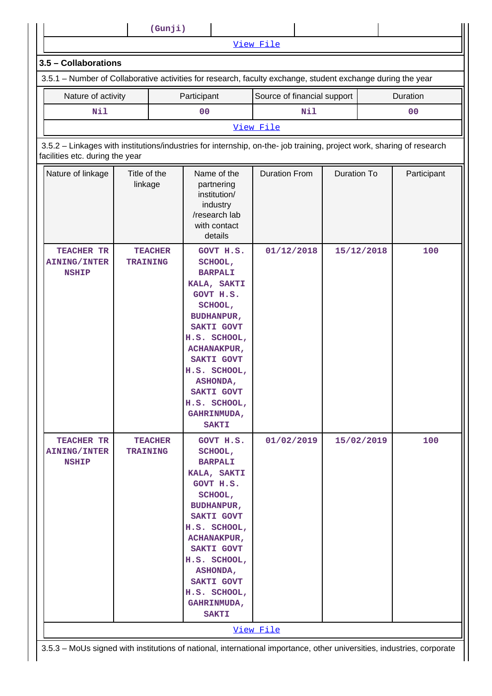| 3.5 - Collaborations                                                                                                                                     |                         |                |             |                                                                                                                                                                                                                                                                                    |                             |     |                    |            |                |  |
|----------------------------------------------------------------------------------------------------------------------------------------------------------|-------------------------|----------------|-------------|------------------------------------------------------------------------------------------------------------------------------------------------------------------------------------------------------------------------------------------------------------------------------------|-----------------------------|-----|--------------------|------------|----------------|--|
| 3.5.1 – Number of Collaborative activities for research, faculty exchange, student exchange during the year                                              |                         |                |             |                                                                                                                                                                                                                                                                                    |                             |     |                    |            |                |  |
| Nature of activity                                                                                                                                       |                         |                | Participant |                                                                                                                                                                                                                                                                                    | Source of financial support |     |                    |            | Duration       |  |
| Nil                                                                                                                                                      |                         |                | 00          |                                                                                                                                                                                                                                                                                    |                             | Nil |                    |            | 0 <sub>0</sub> |  |
|                                                                                                                                                          |                         |                |             |                                                                                                                                                                                                                                                                                    | View File                   |     |                    |            |                |  |
| 3.5.2 - Linkages with institutions/industries for internship, on-the- job training, project work, sharing of research<br>facilities etc. during the year |                         |                |             |                                                                                                                                                                                                                                                                                    |                             |     |                    |            |                |  |
| Nature of linkage                                                                                                                                        | Title of the<br>linkage |                |             | Name of the<br>partnering<br>institution/<br>industry<br>/research lab<br>with contact<br>details                                                                                                                                                                                  | <b>Duration From</b>        |     | <b>Duration To</b> |            | Participant    |  |
| TEACHER TR<br><b>AINING/INTER</b><br><b>NSHIP</b>                                                                                                        | <b>TRAINING</b>         | <b>TEACHER</b> |             | GOVT H.S.<br>SCHOOL,<br><b>BARPALI</b><br>KALA, SAKTI<br>GOVT H.S.<br>SCHOOL,<br><b>BUDHANPUR,</b><br><b>SAKTI GOVT</b><br>H.S. SCHOOL,<br><b>ACHANAKPUR,</b><br>SAKTI GOVT<br>H.S. SCHOOL,<br><b>ASHONDA,</b><br><b>SAKTI GOVT</b><br>H.S. SCHOOL,<br>GAHRINMUDA,<br><b>SAKTI</b> | 01/12/2018                  |     | 15/12/2018         |            | 100            |  |
| TEACHER TR<br><b>AINING/INTER</b><br><b>NSHIP</b>                                                                                                        | <b>TRAINING</b>         | <b>TEACHER</b> |             | GOVT H.S.<br>SCHOOL,<br><b>BARPALI</b><br>KALA, SAKTI<br>GOVT H.S.<br>SCHOOL,<br><b>BUDHANPUR,</b><br>SAKTI GOVT<br>H.S. SCHOOL,<br><b>ACHANAKPUR,</b><br>SAKTI GOVT<br>H.S. SCHOOL,<br>ASHONDA,<br>SAKTI GOVT<br>H.S. SCHOOL,<br>GAHRINMUDA,<br><b>SAKTI</b>                      | 01/02/2019                  |     |                    | 15/02/2019 | 100            |  |

 $\mathsf{I}$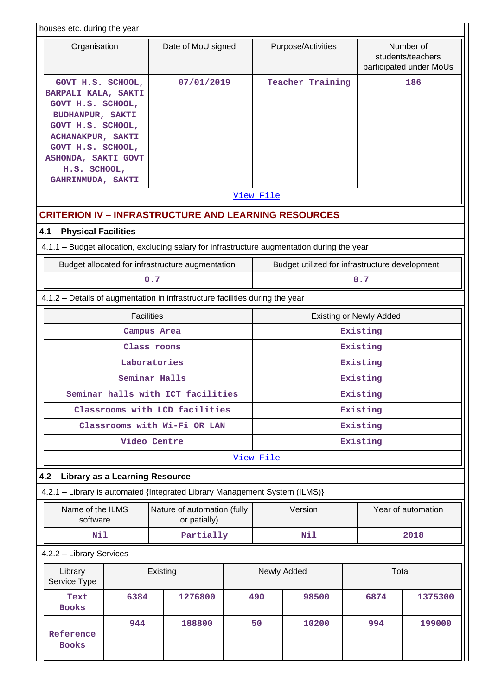| houses etc. during the year |  |  |  |
|-----------------------------|--|--|--|
|-----------------------------|--|--|--|

| Tiouses etc. Quility the year                                                                                                                                                                                              |                                             |                                                                                 |                                                |                                |                    |  |  |
|----------------------------------------------------------------------------------------------------------------------------------------------------------------------------------------------------------------------------|---------------------------------------------|---------------------------------------------------------------------------------|------------------------------------------------|--------------------------------|--------------------|--|--|
| Organisation                                                                                                                                                                                                               | Date of MoU signed                          | Purpose/Activities<br>Number of<br>students/teachers<br>participated under MoUs |                                                |                                |                    |  |  |
| GOVT H.S. SCHOOL,<br>BARPALI KALA, SAKTI<br>GOVT H.S. SCHOOL,<br><b>BUDHANPUR, SAKTI</b><br>GOVT H.S. SCHOOL,<br><b>ACHANAKPUR, SAKTI</b><br>GOVT H.S. SCHOOL,<br>ASHONDA, SAKTI GOVT<br>H.S. SCHOOL,<br>GAHRINMUDA, SAKTI | 07/01/2019                                  |                                                                                 | Teacher Training                               |                                | 186                |  |  |
|                                                                                                                                                                                                                            |                                             | View File                                                                       |                                                |                                |                    |  |  |
| <b>CRITERION IV - INFRASTRUCTURE AND LEARNING RESOURCES</b>                                                                                                                                                                |                                             |                                                                                 |                                                |                                |                    |  |  |
| 4.1 - Physical Facilities                                                                                                                                                                                                  |                                             |                                                                                 |                                                |                                |                    |  |  |
| 4.1.1 - Budget allocation, excluding salary for infrastructure augmentation during the year                                                                                                                                |                                             |                                                                                 |                                                |                                |                    |  |  |
| Budget allocated for infrastructure augmentation                                                                                                                                                                           |                                             |                                                                                 | Budget utilized for infrastructure development |                                |                    |  |  |
|                                                                                                                                                                                                                            | 0.7                                         |                                                                                 |                                                | 0.7                            |                    |  |  |
| 4.1.2 - Details of augmentation in infrastructure facilities during the year                                                                                                                                               |                                             |                                                                                 |                                                |                                |                    |  |  |
| <b>Facilities</b>                                                                                                                                                                                                          |                                             |                                                                                 |                                                | <b>Existing or Newly Added</b> |                    |  |  |
|                                                                                                                                                                                                                            | Campus Area                                 |                                                                                 |                                                | Existing                       |                    |  |  |
|                                                                                                                                                                                                                            | Class rooms                                 |                                                                                 |                                                | Existing                       |                    |  |  |
|                                                                                                                                                                                                                            | Laboratories                                |                                                                                 |                                                | Existing                       |                    |  |  |
|                                                                                                                                                                                                                            | Seminar Halls                               |                                                                                 |                                                | Existing                       |                    |  |  |
| Seminar halls with ICT facilities                                                                                                                                                                                          |                                             |                                                                                 |                                                | Existing                       |                    |  |  |
|                                                                                                                                                                                                                            | Classrooms with LCD facilities              | Existing                                                                        |                                                |                                |                    |  |  |
|                                                                                                                                                                                                                            | Classrooms with Wi-Fi OR LAN                | Existing                                                                        |                                                |                                |                    |  |  |
|                                                                                                                                                                                                                            | Video Centre                                | Existing                                                                        |                                                |                                |                    |  |  |
|                                                                                                                                                                                                                            |                                             | View File                                                                       |                                                |                                |                    |  |  |
| 4.2 - Library as a Learning Resource                                                                                                                                                                                       |                                             |                                                                                 |                                                |                                |                    |  |  |
| 4.2.1 - Library is automated {Integrated Library Management System (ILMS)}                                                                                                                                                 |                                             |                                                                                 |                                                |                                |                    |  |  |
| Name of the ILMS<br>software                                                                                                                                                                                               | Nature of automation (fully<br>or patially) |                                                                                 | Version                                        |                                | Year of automation |  |  |
| Nil                                                                                                                                                                                                                        | Partially                                   |                                                                                 | Nil                                            |                                | 2018               |  |  |
| 4.2.2 - Library Services                                                                                                                                                                                                   |                                             |                                                                                 |                                                |                                |                    |  |  |
| Library<br>Service Type                                                                                                                                                                                                    | Existing                                    |                                                                                 | Newly Added                                    |                                | Total              |  |  |
| 6384<br>Text<br><b>Books</b>                                                                                                                                                                                               | 1276800                                     | 490                                                                             | 98500                                          | 6874                           | 1375300            |  |  |
| 944<br>Reference<br><b>Books</b>                                                                                                                                                                                           | 188800                                      | 50                                                                              | 10200                                          | 994                            | 199000             |  |  |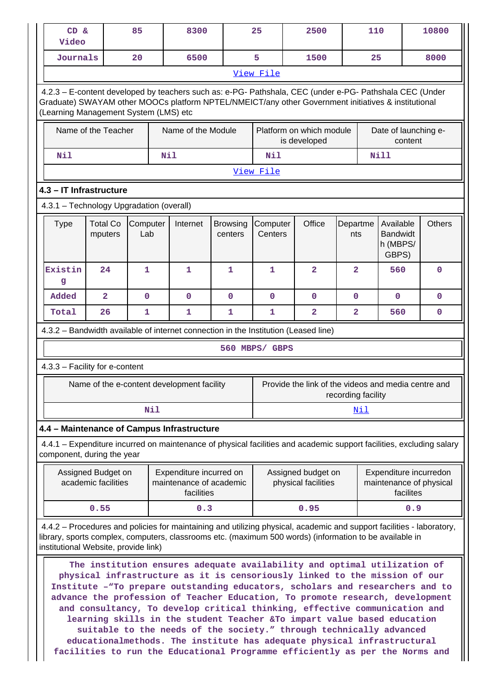| 85<br>8300<br>CD &<br>Video |                                                                                                                                                                                                                                                                                                                                                                                                                                                                                                                                                                                                                                                                                                                                                                                                                                                                        |                                           |                 |            |                                                                  |                            | 25                  | 2500                                                                                                                  |                         | 110                                                                                   |                                     |      | 10800                   |
|-----------------------------|------------------------------------------------------------------------------------------------------------------------------------------------------------------------------------------------------------------------------------------------------------------------------------------------------------------------------------------------------------------------------------------------------------------------------------------------------------------------------------------------------------------------------------------------------------------------------------------------------------------------------------------------------------------------------------------------------------------------------------------------------------------------------------------------------------------------------------------------------------------------|-------------------------------------------|-----------------|------------|------------------------------------------------------------------|----------------------------|---------------------|-----------------------------------------------------------------------------------------------------------------------|-------------------------|---------------------------------------------------------------------------------------|-------------------------------------|------|-------------------------|
|                             | Journals                                                                                                                                                                                                                                                                                                                                                                                                                                                                                                                                                                                                                                                                                                                                                                                                                                                               |                                           | 20              | 6500       |                                                                  | 5                          | 1500                |                                                                                                                       |                         | 25                                                                                    |                                     | 8000 |                         |
|                             |                                                                                                                                                                                                                                                                                                                                                                                                                                                                                                                                                                                                                                                                                                                                                                                                                                                                        |                                           |                 |            |                                                                  |                            | View File           |                                                                                                                       |                         |                                                                                       |                                     |      |                         |
|                             | 4.2.3 - E-content developed by teachers such as: e-PG- Pathshala, CEC (under e-PG- Pathshala CEC (Under<br>Graduate) SWAYAM other MOOCs platform NPTEL/NMEICT/any other Government initiatives & institutional<br>(Learning Management System (LMS) etc                                                                                                                                                                                                                                                                                                                                                                                                                                                                                                                                                                                                                |                                           |                 |            |                                                                  |                            |                     |                                                                                                                       |                         |                                                                                       |                                     |      |                         |
|                             |                                                                                                                                                                                                                                                                                                                                                                                                                                                                                                                                                                                                                                                                                                                                                                                                                                                                        | Name of the Teacher                       |                 |            | Name of the Module                                               |                            |                     | Platform on which module<br>is developed                                                                              |                         |                                                                                       | Date of launching e-<br>content     |      |                         |
|                             | Nil                                                                                                                                                                                                                                                                                                                                                                                                                                                                                                                                                                                                                                                                                                                                                                                                                                                                    |                                           |                 | <b>Nil</b> |                                                                  |                            | Nil                 |                                                                                                                       |                         |                                                                                       | <b>Nill</b>                         |      |                         |
|                             |                                                                                                                                                                                                                                                                                                                                                                                                                                                                                                                                                                                                                                                                                                                                                                                                                                                                        |                                           |                 |            |                                                                  |                            | View File           |                                                                                                                       |                         |                                                                                       |                                     |      |                         |
|                             | 4.3 - IT Infrastructure                                                                                                                                                                                                                                                                                                                                                                                                                                                                                                                                                                                                                                                                                                                                                                                                                                                |                                           |                 |            |                                                                  |                            |                     |                                                                                                                       |                         |                                                                                       |                                     |      |                         |
|                             | 4.3.1 - Technology Upgradation (overall)                                                                                                                                                                                                                                                                                                                                                                                                                                                                                                                                                                                                                                                                                                                                                                                                                               |                                           |                 |            |                                                                  |                            |                     |                                                                                                                       |                         |                                                                                       |                                     |      |                         |
|                             | <b>Type</b>                                                                                                                                                                                                                                                                                                                                                                                                                                                                                                                                                                                                                                                                                                                                                                                                                                                            | <b>Total Co</b><br>mputers                | Computer<br>Lab |            | Internet                                                         | <b>Browsing</b><br>centers | Computer<br>Centers | Office                                                                                                                |                         | <b>Others</b><br>Departme<br>Available<br><b>Bandwidt</b><br>nts<br>h (MBPS/<br>GBPS) |                                     |      |                         |
|                             | Existin<br>g                                                                                                                                                                                                                                                                                                                                                                                                                                                                                                                                                                                                                                                                                                                                                                                                                                                           | 24                                        | $\mathbf{1}$    |            | 1                                                                | $\mathbf{1}$               | $\mathbf{1}$        | $\overline{2}$                                                                                                        | $\overline{2}$          |                                                                                       | 560                                 |      | $\mathbf 0$             |
|                             | Added                                                                                                                                                                                                                                                                                                                                                                                                                                                                                                                                                                                                                                                                                                                                                                                                                                                                  | $\overline{\mathbf{2}}$                   | 0               |            | $\mathbf 0$                                                      | $\mathbf{O}$               | $\mathbf{O}$        | 0                                                                                                                     | $\mathbf 0$             |                                                                                       | 0                                   |      | 0                       |
|                             | Total                                                                                                                                                                                                                                                                                                                                                                                                                                                                                                                                                                                                                                                                                                                                                                                                                                                                  | 26                                        | 1               |            | 1                                                                | 1                          | 1                   | $\mathbf{2}$                                                                                                          | $\overline{\mathbf{2}}$ |                                                                                       | 560                                 |      | 0                       |
|                             |                                                                                                                                                                                                                                                                                                                                                                                                                                                                                                                                                                                                                                                                                                                                                                                                                                                                        |                                           |                 |            |                                                                  |                            |                     | 4.3.2 – Bandwidth available of internet connection in the Institution (Leased line)                                   |                         |                                                                                       |                                     |      |                         |
|                             |                                                                                                                                                                                                                                                                                                                                                                                                                                                                                                                                                                                                                                                                                                                                                                                                                                                                        |                                           |                 |            |                                                                  |                            | 560 MBPS/ GBPS      |                                                                                                                       |                         |                                                                                       |                                     |      |                         |
|                             | 4.3.3 - Facility for e-content                                                                                                                                                                                                                                                                                                                                                                                                                                                                                                                                                                                                                                                                                                                                                                                                                                         |                                           |                 |            |                                                                  |                            |                     |                                                                                                                       |                         |                                                                                       |                                     |      |                         |
|                             |                                                                                                                                                                                                                                                                                                                                                                                                                                                                                                                                                                                                                                                                                                                                                                                                                                                                        |                                           |                 |            | Name of the e-content development facility                       |                            |                     | Provide the link of the videos and media centre and                                                                   | recording facility      |                                                                                       |                                     |      |                         |
|                             |                                                                                                                                                                                                                                                                                                                                                                                                                                                                                                                                                                                                                                                                                                                                                                                                                                                                        |                                           |                 | Nil        |                                                                  |                            |                     |                                                                                                                       |                         | Nil                                                                                   |                                     |      |                         |
|                             | 4.4 - Maintenance of Campus Infrastructure                                                                                                                                                                                                                                                                                                                                                                                                                                                                                                                                                                                                                                                                                                                                                                                                                             |                                           |                 |            |                                                                  |                            |                     |                                                                                                                       |                         |                                                                                       |                                     |      |                         |
|                             | component, during the year                                                                                                                                                                                                                                                                                                                                                                                                                                                                                                                                                                                                                                                                                                                                                                                                                                             |                                           |                 |            |                                                                  |                            |                     | 4.4.1 – Expenditure incurred on maintenance of physical facilities and academic support facilities, excluding salary  |                         |                                                                                       |                                     |      |                         |
|                             |                                                                                                                                                                                                                                                                                                                                                                                                                                                                                                                                                                                                                                                                                                                                                                                                                                                                        | Assigned Budget on<br>academic facilities |                 |            | Expenditure incurred on<br>maintenance of academic<br>facilities |                            |                     | Assigned budget on<br>physical facilities                                                                             |                         |                                                                                       | Expenditure incurredon<br>facilites |      | maintenance of physical |
|                             |                                                                                                                                                                                                                                                                                                                                                                                                                                                                                                                                                                                                                                                                                                                                                                                                                                                                        | 0.55                                      |                 |            | 0.3                                                              |                            |                     | 0.95                                                                                                                  |                         |                                                                                       |                                     | 0.9  |                         |
|                             |                                                                                                                                                                                                                                                                                                                                                                                                                                                                                                                                                                                                                                                                                                                                                                                                                                                                        |                                           |                 |            |                                                                  |                            |                     | 4.4.2 - Procedures and policies for maintaining and utilizing physical, academic and support facilities - laboratory, |                         |                                                                                       |                                     |      |                         |
|                             | library, sports complex, computers, classrooms etc. (maximum 500 words) (information to be available in<br>institutional Website, provide link)<br>The institution ensures adequate availability and optimal utilization of<br>physical infrastructure as it is censoriously linked to the mission of our<br>Institute -"To prepare outstanding educators, scholars and researchers and to<br>advance the profession of Teacher Education, To promote research, development<br>and consultancy, To develop critical thinking, effective communication and<br>learning skills in the student Teacher &To impart value based education<br>suitable to the needs of the society." through technically advanced<br>educationalmethods. The institute has adequate physical infrastructural<br>facilities to run the Educational Programme efficiently as per the Norms and |                                           |                 |            |                                                                  |                            |                     |                                                                                                                       |                         |                                                                                       |                                     |      |                         |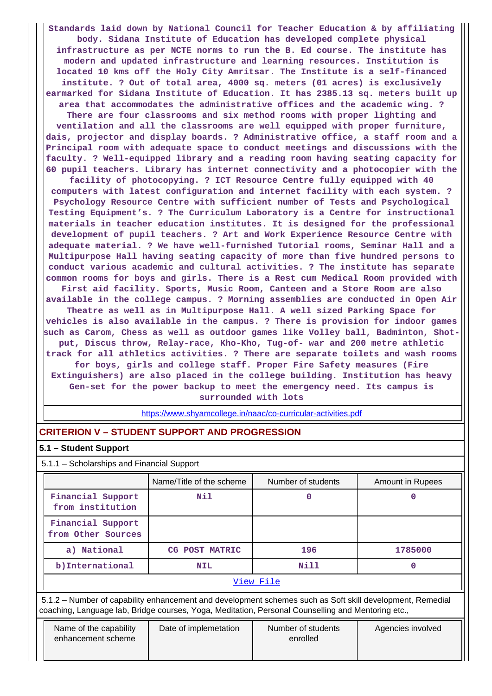**Standards laid down by National Council for Teacher Education & by affiliating body. Sidana Institute of Education has developed complete physical infrastructure as per NCTE norms to run the B. Ed course. The institute has modern and updated infrastructure and learning resources. Institution is located 10 kms off the Holy City Amritsar. The Institute is a self-financed institute. ? Out of total area, 4000 sq. meters (01 acres) is exclusively earmarked for Sidana Institute of Education. It has 2385.13 sq. meters built up area that accommodates the administrative offices and the academic wing. ? There are four classrooms and six method rooms with proper lighting and ventilation and all the classrooms are well equipped with proper furniture, dais, projector and display boards. ? Administrative office, a staff room and a Principal room with adequate space to conduct meetings and discussions with the faculty. ? Well-equipped library and a reading room having seating capacity for 60 pupil teachers. Library has internet connectivity and a photocopier with the facility of photocopying. ? ICT Resource Centre fully equipped with 40 computers with latest configuration and internet facility with each system. ? Psychology Resource Centre with sufficient number of Tests and Psychological Testing Equipment's. ? The Curriculum Laboratory is a Centre for instructional materials in teacher education institutes. It is designed for the professional development of pupil teachers. ? Art and Work Experience Resource Centre with adequate material. ? We have well-furnished Tutorial rooms, Seminar Hall and a Multipurpose Hall having seating capacity of more than five hundred persons to conduct various academic and cultural activities. ? The institute has separate common rooms for boys and girls. There is a Rest cum Medical Room provided with First aid facility. Sports, Music Room, Canteen and a Store Room are also available in the college campus. ? Morning assemblies are conducted in Open Air Theatre as well as in Multipurpose Hall. A well sized Parking Space for vehicles is also available in the campus. ? There is provision for indoor games such as Carom, Chess as well as outdoor games like Volley ball, Badminton, Shotput, Discus throw, Relay-race, Kho-Kho, Tug-of- war and 200 metre athletic track for all athletics activities. ? There are separate toilets and wash rooms for boys, girls and college staff. Proper Fire Safety measures (Fire Extinguishers) are also placed in the college building. Institution has heavy Gen-set for the power backup to meet the emergency need. Its campus is surrounded with lots**

https://www.shyamcollege.in/naac/co-curricular-activities.pdf

## **CRITERION V – STUDENT SUPPORT AND PROGRESSION**

#### **5.1 – Student Support**

5.1.1 – Scholarships and Financial Support

|                                         | Name/Title of the scheme | Amount in Rupees |         |  |  |
|-----------------------------------------|--------------------------|------------------|---------|--|--|
| Financial Support<br>from institution   | Nil                      |                  |         |  |  |
| Financial Support<br>from Other Sources |                          |                  |         |  |  |
| a) National                             | CG POST MATRIC           | 196              | 1785000 |  |  |
| b) International                        | <b>NIL</b>               | Nill             | O       |  |  |
| View File                               |                          |                  |         |  |  |

 5.1.2 – Number of capability enhancement and development schemes such as Soft skill development, Remedial coaching, Language lab, Bridge courses, Yoga, Meditation, Personal Counselling and Mentoring etc.,

| Name of the capability<br>enhancement scheme | Date of implemetation | Number of students<br>enrolled | Agencies involved |
|----------------------------------------------|-----------------------|--------------------------------|-------------------|
|                                              |                       |                                |                   |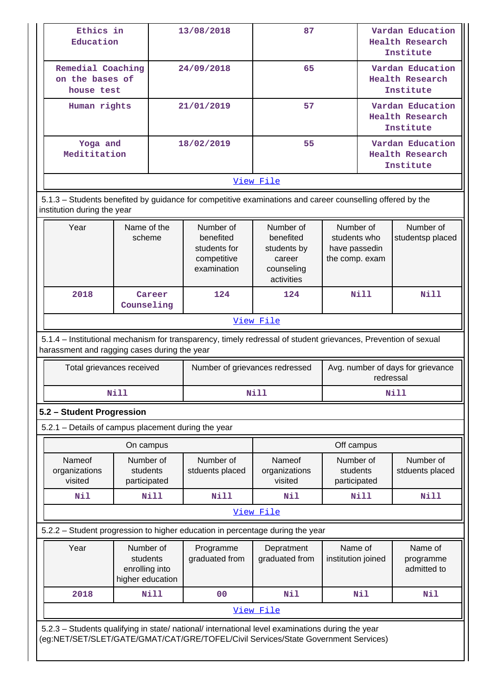| Ethics in<br>Education                                                                                                                                                                 |                                                             |             | 13/08/2018                                                           | 87                                                                          |                                                              |                                                         | Vardan Education<br><b>Health Research</b><br>Institute |  |  |
|----------------------------------------------------------------------------------------------------------------------------------------------------------------------------------------|-------------------------------------------------------------|-------------|----------------------------------------------------------------------|-----------------------------------------------------------------------------|--------------------------------------------------------------|---------------------------------------------------------|---------------------------------------------------------|--|--|
| Remedial Coaching<br>on the bases of<br>house test                                                                                                                                     |                                                             |             | 24/09/2018                                                           | 65                                                                          |                                                              |                                                         | Vardan Education<br><b>Health Research</b><br>Institute |  |  |
| Human rights                                                                                                                                                                           |                                                             |             | 21/01/2019                                                           | 57                                                                          |                                                              | Vardan Education<br><b>Health Research</b><br>Institute |                                                         |  |  |
| Yoga and<br>Medititation                                                                                                                                                               |                                                             |             | 18/02/2019                                                           | 55                                                                          |                                                              | Vardan Education<br><b>Health Research</b><br>Institute |                                                         |  |  |
|                                                                                                                                                                                        |                                                             |             |                                                                      | View File                                                                   |                                                              |                                                         |                                                         |  |  |
| 5.1.3 - Students benefited by guidance for competitive examinations and career counselling offered by the<br>institution during the year                                               |                                                             |             |                                                                      |                                                                             |                                                              |                                                         |                                                         |  |  |
| Year                                                                                                                                                                                   | Name of the<br>scheme                                       |             | Number of<br>benefited<br>students for<br>competitive<br>examination | Number of<br>benefited<br>students by<br>career<br>counseling<br>activities | Number of<br>students who<br>have passedin<br>the comp. exam |                                                         | Number of<br>studentsp placed                           |  |  |
| 2018                                                                                                                                                                                   | Counseling                                                  | Career      | 124                                                                  | 124                                                                         | Nill                                                         |                                                         | <b>Nill</b>                                             |  |  |
|                                                                                                                                                                                        |                                                             |             |                                                                      | View File                                                                   |                                                              |                                                         |                                                         |  |  |
| 5.1.4 - Institutional mechanism for transparency, timely redressal of student grievances, Prevention of sexual<br>harassment and ragging cases during the year                         |                                                             |             |                                                                      |                                                                             |                                                              |                                                         |                                                         |  |  |
| Total grievances received                                                                                                                                                              |                                                             |             | Number of grievances redressed                                       | Avg. number of days for grievance<br>redressal                              |                                                              |                                                         |                                                         |  |  |
|                                                                                                                                                                                        | <b>Nill</b>                                                 |             |                                                                      | <b>Nill</b>                                                                 | Nill                                                         |                                                         |                                                         |  |  |
| 5.2 - Student Progression                                                                                                                                                              |                                                             |             |                                                                      |                                                                             |                                                              |                                                         |                                                         |  |  |
| 5.2.1 - Details of campus placement during the year                                                                                                                                    |                                                             |             |                                                                      |                                                                             |                                                              |                                                         |                                                         |  |  |
|                                                                                                                                                                                        | On campus                                                   |             |                                                                      |                                                                             | Off campus                                                   |                                                         |                                                         |  |  |
| Nameof<br>organizations<br>visited                                                                                                                                                     | Number of<br>students<br>participated                       |             | Number of<br>stduents placed                                         | Nameof<br>organizations<br>visited                                          | Number of<br>students<br>participated                        |                                                         | Number of<br>stduents placed                            |  |  |
| Nil                                                                                                                                                                                    |                                                             | <b>Nill</b> | <b>Nill</b>                                                          | Nil                                                                         | <b>Nill</b>                                                  |                                                         | Nill                                                    |  |  |
|                                                                                                                                                                                        |                                                             |             |                                                                      | View File                                                                   |                                                              |                                                         |                                                         |  |  |
| 5.2.2 - Student progression to higher education in percentage during the year                                                                                                          |                                                             |             |                                                                      |                                                                             |                                                              |                                                         |                                                         |  |  |
|                                                                                                                                                                                        |                                                             |             |                                                                      |                                                                             |                                                              |                                                         |                                                         |  |  |
| Year                                                                                                                                                                                   | Number of<br>students<br>enrolling into<br>higher education |             | Programme<br>graduated from                                          | Depratment<br>graduated from                                                | Name of<br>institution joined                                |                                                         | Name of<br>programme<br>admitted to                     |  |  |
| 2018                                                                                                                                                                                   |                                                             | <b>Nill</b> | 00                                                                   | Nil                                                                         | Nil                                                          |                                                         | Nil                                                     |  |  |
|                                                                                                                                                                                        |                                                             |             |                                                                      | View File                                                                   |                                                              |                                                         |                                                         |  |  |
| 5.2.3 - Students qualifying in state/ national/ international level examinations during the year<br>(eg:NET/SET/SLET/GATE/GMAT/CAT/GRE/TOFEL/Civil Services/State Government Services) |                                                             |             |                                                                      |                                                                             |                                                              |                                                         |                                                         |  |  |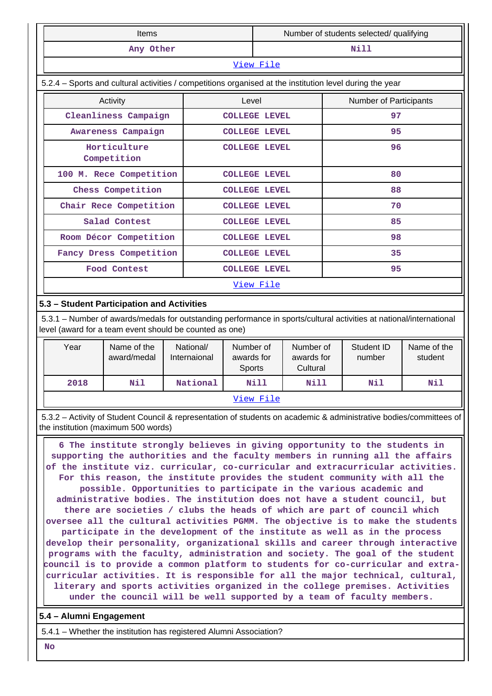| <b>Items</b>                                                                                             |       | Number of students selected/ qualifying |                        |  |  |  |  |  |
|----------------------------------------------------------------------------------------------------------|-------|-----------------------------------------|------------------------|--|--|--|--|--|
| Any Other                                                                                                |       |                                         | Nill                   |  |  |  |  |  |
|                                                                                                          |       | View File                               |                        |  |  |  |  |  |
| 5.2.4 – Sports and cultural activities / competitions organised at the institution level during the year |       |                                         |                        |  |  |  |  |  |
| Activity                                                                                                 | Level |                                         | Number of Participants |  |  |  |  |  |
| Cleanliness Campaign                                                                                     |       | <b>COLLEGE LEVEL</b>                    | 97                     |  |  |  |  |  |
| Awareness Campaign                                                                                       |       | <b>COLLEGE LEVEL</b>                    | 95                     |  |  |  |  |  |
| Horticulture<br>Competition                                                                              |       | <b>COLLEGE LEVEL</b>                    | 96                     |  |  |  |  |  |
| 100 M. Rece Competition                                                                                  |       | <b>COLLEGE LEVEL</b>                    | 80                     |  |  |  |  |  |
| Chess Competition                                                                                        |       | <b>COLLEGE LEVEL</b>                    | 88                     |  |  |  |  |  |
| Chair Rece Competition                                                                                   |       | <b>COLLEGE LEVEL</b>                    | 70                     |  |  |  |  |  |
| Salad Contest                                                                                            |       | <b>COLLEGE LEVEL</b>                    | 85                     |  |  |  |  |  |
| Room Décor Competition                                                                                   |       | <b>COLLEGE LEVEL</b>                    | 98                     |  |  |  |  |  |
| Fancy Dress Competition                                                                                  |       | <b>COLLEGE LEVEL</b>                    | 35                     |  |  |  |  |  |
| Food Contest                                                                                             |       | <b>COLLEGE LEVEL</b>                    | 95                     |  |  |  |  |  |
|                                                                                                          |       | View File                               |                        |  |  |  |  |  |

## **5.3 – Student Participation and Activities**

 5.3.1 – Number of awards/medals for outstanding performance in sports/cultural activities at national/international level (award for a team event should be counted as one)

| Year | Name of the<br>award/medal | National/<br>Internaional | Number of<br>awards for<br><b>Sports</b> | Number of<br>awards for<br>Cultural | Student ID<br>number | Name of the<br>student |
|------|----------------------------|---------------------------|------------------------------------------|-------------------------------------|----------------------|------------------------|
| 2018 | Nil                        | National                  | Nill                                     | Nill                                | Nil                  | Nil                    |
|      |                            |                           | View File                                |                                     |                      |                        |

 5.3.2 – Activity of Student Council & representation of students on academic & administrative bodies/committees of the institution (maximum 500 words)

 **6 The institute strongly believes in giving opportunity to the students in supporting the authorities and the faculty members in running all the affairs of the institute viz. curricular, co-curricular and extracurricular activities. For this reason, the institute provides the student community with all the possible. Opportunities to participate in the various academic and administrative bodies. The institution does not have a student council, but there are societies / clubs the heads of which are part of council which oversee all the cultural activities PGMM. The objective is to make the students participate in the development of the institute as well as in the process develop their personality, organizational skills and career through interactive programs with the faculty, administration and society. The goal of the student council is to provide a common platform to students for co-curricular and extracurricular activities. It is responsible for all the major technical, cultural, literary and sports activities organized in the college premises. Activities under the council will be well supported by a team of faculty members.**

#### **5.4 – Alumni Engagement**

5.4.1 – Whether the institution has registered Alumni Association?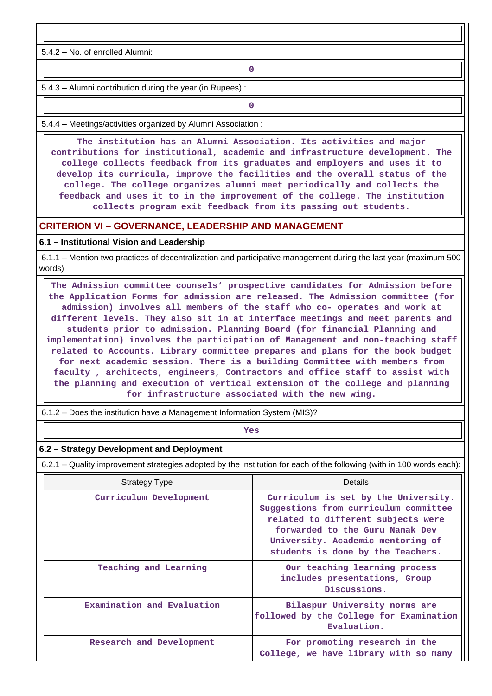5.4.2 – No. of enrolled Alumni:

**0**

5.4.3 – Alumni contribution during the year (in Rupees) :

**0**

5.4.4 – Meetings/activities organized by Alumni Association :

 **The institution has an Alumni Association. Its activities and major contributions for institutional, academic and infrastructure development. The college collects feedback from its graduates and employers and uses it to develop its curricula, improve the facilities and the overall status of the college. The college organizes alumni meet periodically and collects the feedback and uses it to in the improvement of the college. The institution collects program exit feedback from its passing out students.**

#### **CRITERION VI – GOVERNANCE, LEADERSHIP AND MANAGEMENT**

#### **6.1 – Institutional Vision and Leadership**

 6.1.1 – Mention two practices of decentralization and participative management during the last year (maximum 500 words)

 **The Admission committee counsels' prospective candidates for Admission before the Application Forms for admission are released. The Admission committee (for admission) involves all members of the staff who co- operates and work at different levels. They also sit in at interface meetings and meet parents and students prior to admission. Planning Board (for financial Planning and implementation) involves the participation of Management and non-teaching staff related to Accounts. Library committee prepares and plans for the book budget for next academic session. There is a building Committee with members from faculty , architects, engineers, Contractors and office staff to assist with the planning and execution of vertical extension of the college and planning for infrastructure associated with the new wing.**

6.1.2 – Does the institution have a Management Information System (MIS)?

*Yes* 

#### **6.2 – Strategy Development and Deployment**

6.2.1 – Quality improvement strategies adopted by the institution for each of the following (with in 100 words each):

| <b>Strategy Type</b>       | Details                                                                                                                                                                                                                          |
|----------------------------|----------------------------------------------------------------------------------------------------------------------------------------------------------------------------------------------------------------------------------|
| Curriculum Development     | Curriculum is set by the University.<br>Suggestions from curriculum committee<br>related to different subjects were<br>forwarded to the Guru Nanak Dev<br>University. Academic mentoring of<br>students is done by the Teachers. |
| Teaching and Learning      | Our teaching learning process<br>includes presentations, Group<br>Discussions.                                                                                                                                                   |
| Examination and Evaluation | Bilaspur University norms are<br>followed by the College for Examination<br>Evaluation.                                                                                                                                          |
| Research and Development   | For promoting research in the<br>College, we have library with so many                                                                                                                                                           |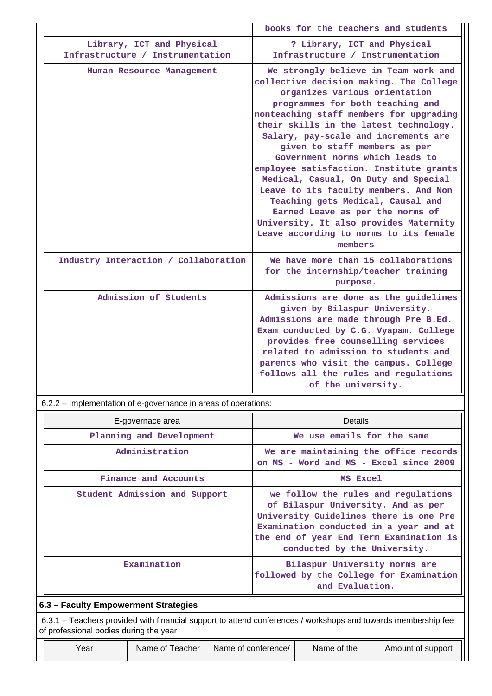|                                                                                                                                                         |                           |                     |                                                                                                                                                                                                                                                                                                                                                                                                                                                                                                                                                                                                                                                           | books for the teachers and students |                   |  |  |  |
|---------------------------------------------------------------------------------------------------------------------------------------------------------|---------------------------|---------------------|-----------------------------------------------------------------------------------------------------------------------------------------------------------------------------------------------------------------------------------------------------------------------------------------------------------------------------------------------------------------------------------------------------------------------------------------------------------------------------------------------------------------------------------------------------------------------------------------------------------------------------------------------------------|-------------------------------------|-------------------|--|--|--|
| Infrastructure / Instrumentation                                                                                                                        | Library, ICT and Physical |                     | ? Library, ICT and Physical<br>Infrastructure / Instrumentation                                                                                                                                                                                                                                                                                                                                                                                                                                                                                                                                                                                           |                                     |                   |  |  |  |
|                                                                                                                                                         | Human Resource Management |                     | We strongly believe in Team work and<br>collective decision making. The College<br>organizes various orientation<br>programmes for both teaching and<br>nonteaching staff members for upgrading<br>their skills in the latest technology.<br>Salary, pay-scale and increments are<br>given to staff members as per<br>Government norms which leads to<br>employee satisfaction. Institute grants<br>Medical, Casual, On Duty and Special<br>Leave to its faculty members. And Non<br>Teaching gets Medical, Causal and<br>Earned Leave as per the norms of<br>University. It also provides Maternity<br>Leave according to norms to its female<br>members |                                     |                   |  |  |  |
| Industry Interaction / Collaboration                                                                                                                    |                           |                     | We have more than 15 collaborations<br>for the internship/teacher training<br>purpose.                                                                                                                                                                                                                                                                                                                                                                                                                                                                                                                                                                    |                                     |                   |  |  |  |
|                                                                                                                                                         | Admission of Students     |                     | Admissions are done as the guidelines<br>given by Bilaspur University.<br>Admissions are made through Pre B.Ed.<br>Exam conducted by C.G. Vyapam. College<br>provides free counselling services<br>related to admission to students and<br>parents who visit the campus. College<br>follows all the rules and regulations<br>of the university.                                                                                                                                                                                                                                                                                                           |                                     |                   |  |  |  |
| 6.2.2 – Implementation of e-governance in areas of operations:                                                                                          |                           |                     |                                                                                                                                                                                                                                                                                                                                                                                                                                                                                                                                                                                                                                                           |                                     |                   |  |  |  |
|                                                                                                                                                         | E-governace area          |                     |                                                                                                                                                                                                                                                                                                                                                                                                                                                                                                                                                                                                                                                           | <b>Details</b>                      |                   |  |  |  |
|                                                                                                                                                         | Planning and Development  |                     | We use emails for the same                                                                                                                                                                                                                                                                                                                                                                                                                                                                                                                                                                                                                                |                                     |                   |  |  |  |
|                                                                                                                                                         | Administration            |                     | We are maintaining the office records<br>on MS - Word and MS - Excel since 2009                                                                                                                                                                                                                                                                                                                                                                                                                                                                                                                                                                           |                                     |                   |  |  |  |
|                                                                                                                                                         | Finance and Accounts      |                     |                                                                                                                                                                                                                                                                                                                                                                                                                                                                                                                                                                                                                                                           | MS Excel                            |                   |  |  |  |
| Student Admission and Support                                                                                                                           |                           |                     | we follow the rules and regulations<br>of Bilaspur University. And as per<br>University Guidelines there is one Pre<br>Examination conducted in a year and at<br>the end of year End Term Examination is<br>conducted by the University.                                                                                                                                                                                                                                                                                                                                                                                                                  |                                     |                   |  |  |  |
|                                                                                                                                                         | Examination               |                     | Bilaspur University norms are<br>followed by the College for Examination<br>and Evaluation.                                                                                                                                                                                                                                                                                                                                                                                                                                                                                                                                                               |                                     |                   |  |  |  |
| 6.3 - Faculty Empowerment Strategies                                                                                                                    |                           |                     |                                                                                                                                                                                                                                                                                                                                                                                                                                                                                                                                                                                                                                                           |                                     |                   |  |  |  |
| 6.3.1 - Teachers provided with financial support to attend conferences / workshops and towards membership fee<br>of professional bodies during the year |                           |                     |                                                                                                                                                                                                                                                                                                                                                                                                                                                                                                                                                                                                                                                           |                                     |                   |  |  |  |
| Year                                                                                                                                                    | Name of Teacher           | Name of conference/ |                                                                                                                                                                                                                                                                                                                                                                                                                                                                                                                                                                                                                                                           | Name of the                         | Amount of support |  |  |  |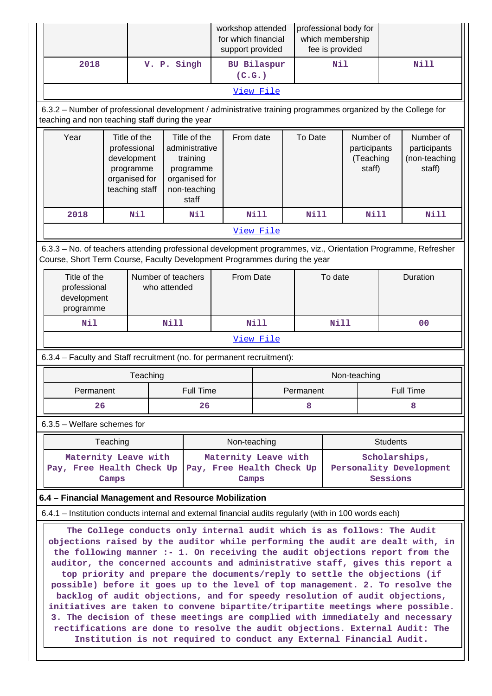|                                                                                                                                                                                            |                                                                                                                                                                                                                                                                                                                                                                                                                                                                                                                                                                                                                                                                                                                                                                                                                                                                                                                                                                                                              |                                                                                                                                                                                                  |             | workshop attended<br>professional body for<br>for which financial<br>which membership<br>fee is provided<br>support provided |                                                   |             |         |                                                  |                  |                                                      |                                          |
|--------------------------------------------------------------------------------------------------------------------------------------------------------------------------------------------|--------------------------------------------------------------------------------------------------------------------------------------------------------------------------------------------------------------------------------------------------------------------------------------------------------------------------------------------------------------------------------------------------------------------------------------------------------------------------------------------------------------------------------------------------------------------------------------------------------------------------------------------------------------------------------------------------------------------------------------------------------------------------------------------------------------------------------------------------------------------------------------------------------------------------------------------------------------------------------------------------------------|--------------------------------------------------------------------------------------------------------------------------------------------------------------------------------------------------|-------------|------------------------------------------------------------------------------------------------------------------------------|---------------------------------------------------|-------------|---------|--------------------------------------------------|------------------|------------------------------------------------------|------------------------------------------|
| 2018                                                                                                                                                                                       |                                                                                                                                                                                                                                                                                                                                                                                                                                                                                                                                                                                                                                                                                                                                                                                                                                                                                                                                                                                                              |                                                                                                                                                                                                  | V. P. Singh |                                                                                                                              | (C.G.)                                            | BU Bilaspur |         | <b>Nil</b>                                       |                  | <b>Nill</b>                                          |                                          |
|                                                                                                                                                                                            |                                                                                                                                                                                                                                                                                                                                                                                                                                                                                                                                                                                                                                                                                                                                                                                                                                                                                                                                                                                                              |                                                                                                                                                                                                  |             |                                                                                                                              |                                                   | View File   |         |                                                  |                  |                                                      |                                          |
| 6.3.2 - Number of professional development / administrative training programmes organized by the College for<br>teaching and non teaching staff during the year                            |                                                                                                                                                                                                                                                                                                                                                                                                                                                                                                                                                                                                                                                                                                                                                                                                                                                                                                                                                                                                              |                                                                                                                                                                                                  |             |                                                                                                                              |                                                   |             |         |                                                  |                  |                                                      |                                          |
| Year                                                                                                                                                                                       |                                                                                                                                                                                                                                                                                                                                                                                                                                                                                                                                                                                                                                                                                                                                                                                                                                                                                                                                                                                                              | Title of the<br>Title of the<br>professional<br>administrative<br>development<br>training<br>programme<br>programme<br>organised for<br>organised for<br>non-teaching<br>teaching staff<br>staff |             |                                                                                                                              | From date                                         |             | To Date | Number of<br>participants<br>(Teaching<br>staff) |                  | Number of<br>participants<br>(non-teaching<br>staff) |                                          |
| 2018                                                                                                                                                                                       |                                                                                                                                                                                                                                                                                                                                                                                                                                                                                                                                                                                                                                                                                                                                                                                                                                                                                                                                                                                                              | Nil                                                                                                                                                                                              |             | Nil                                                                                                                          |                                                   | Nill        | Nill    |                                                  | Nill             |                                                      | <b>Nill</b>                              |
|                                                                                                                                                                                            |                                                                                                                                                                                                                                                                                                                                                                                                                                                                                                                                                                                                                                                                                                                                                                                                                                                                                                                                                                                                              |                                                                                                                                                                                                  |             |                                                                                                                              |                                                   | View File   |         |                                                  |                  |                                                      |                                          |
| 6.3.3 - No. of teachers attending professional development programmes, viz., Orientation Programme, Refresher<br>Course, Short Term Course, Faculty Development Programmes during the year |                                                                                                                                                                                                                                                                                                                                                                                                                                                                                                                                                                                                                                                                                                                                                                                                                                                                                                                                                                                                              |                                                                                                                                                                                                  |             |                                                                                                                              |                                                   |             |         |                                                  |                  |                                                      |                                          |
|                                                                                                                                                                                            | Title of the<br>Number of teachers<br>professional<br>who attended<br>development<br>programme                                                                                                                                                                                                                                                                                                                                                                                                                                                                                                                                                                                                                                                                                                                                                                                                                                                                                                               |                                                                                                                                                                                                  |             | From Date                                                                                                                    |                                                   | To date     |         |                                                  |                  | Duration                                             |                                          |
| Nil                                                                                                                                                                                        |                                                                                                                                                                                                                                                                                                                                                                                                                                                                                                                                                                                                                                                                                                                                                                                                                                                                                                                                                                                                              |                                                                                                                                                                                                  | <b>Nill</b> |                                                                                                                              |                                                   | Nill        |         | <b>Nill</b>                                      |                  | 0 <sup>0</sup>                                       |                                          |
|                                                                                                                                                                                            |                                                                                                                                                                                                                                                                                                                                                                                                                                                                                                                                                                                                                                                                                                                                                                                                                                                                                                                                                                                                              |                                                                                                                                                                                                  |             |                                                                                                                              |                                                   | View File   |         |                                                  |                  |                                                      |                                          |
| 6.3.4 - Faculty and Staff recruitment (no. for permanent recruitment):                                                                                                                     |                                                                                                                                                                                                                                                                                                                                                                                                                                                                                                                                                                                                                                                                                                                                                                                                                                                                                                                                                                                                              |                                                                                                                                                                                                  |             |                                                                                                                              |                                                   |             |         |                                                  |                  |                                                      |                                          |
|                                                                                                                                                                                            |                                                                                                                                                                                                                                                                                                                                                                                                                                                                                                                                                                                                                                                                                                                                                                                                                                                                                                                                                                                                              | Teaching                                                                                                                                                                                         |             |                                                                                                                              |                                                   |             |         |                                                  | Non-teaching     |                                                      |                                          |
| Permanent                                                                                                                                                                                  |                                                                                                                                                                                                                                                                                                                                                                                                                                                                                                                                                                                                                                                                                                                                                                                                                                                                                                                                                                                                              |                                                                                                                                                                                                  |             | <b>Full Time</b>                                                                                                             |                                                   | Permanent   |         |                                                  | <b>Full Time</b> |                                                      |                                          |
| 26                                                                                                                                                                                         |                                                                                                                                                                                                                                                                                                                                                                                                                                                                                                                                                                                                                                                                                                                                                                                                                                                                                                                                                                                                              |                                                                                                                                                                                                  |             | 26                                                                                                                           |                                                   |             | 8       |                                                  |                  |                                                      | 8                                        |
| $6.3.5$ – Welfare schemes for                                                                                                                                                              |                                                                                                                                                                                                                                                                                                                                                                                                                                                                                                                                                                                                                                                                                                                                                                                                                                                                                                                                                                                                              |                                                                                                                                                                                                  |             |                                                                                                                              |                                                   |             |         |                                                  |                  |                                                      |                                          |
|                                                                                                                                                                                            | Teaching                                                                                                                                                                                                                                                                                                                                                                                                                                                                                                                                                                                                                                                                                                                                                                                                                                                                                                                                                                                                     |                                                                                                                                                                                                  |             |                                                                                                                              | Non-teaching                                      |             |         |                                                  |                  | <b>Students</b>                                      |                                          |
| Maternity Leave with<br>Pay, Free Health Check Up                                                                                                                                          |                                                                                                                                                                                                                                                                                                                                                                                                                                                                                                                                                                                                                                                                                                                                                                                                                                                                                                                                                                                                              |                                                                                                                                                                                                  |             |                                                                                                                              | Maternity Leave with<br>Pay, Free Health Check Up |             |         |                                                  |                  |                                                      | Scholarships,<br>Personality Development |
|                                                                                                                                                                                            | Camps                                                                                                                                                                                                                                                                                                                                                                                                                                                                                                                                                                                                                                                                                                                                                                                                                                                                                                                                                                                                        |                                                                                                                                                                                                  |             |                                                                                                                              | Camps                                             |             |         |                                                  |                  | Sessions                                             |                                          |
| 6.4 - Financial Management and Resource Mobilization                                                                                                                                       |                                                                                                                                                                                                                                                                                                                                                                                                                                                                                                                                                                                                                                                                                                                                                                                                                                                                                                                                                                                                              |                                                                                                                                                                                                  |             |                                                                                                                              |                                                   |             |         |                                                  |                  |                                                      |                                          |
|                                                                                                                                                                                            |                                                                                                                                                                                                                                                                                                                                                                                                                                                                                                                                                                                                                                                                                                                                                                                                                                                                                                                                                                                                              |                                                                                                                                                                                                  |             |                                                                                                                              |                                                   |             |         |                                                  |                  |                                                      |                                          |
|                                                                                                                                                                                            | 6.4.1 – Institution conducts internal and external financial audits regularly (with in 100 words each)<br>The College conducts only internal audit which is as follows: The Audit<br>objections raised by the auditor while performing the audit are dealt with, in<br>the following manner :- 1. On receiving the audit objections report from the<br>auditor, the concerned accounts and administrative staff, gives this report a<br>top priority and prepare the documents/reply to settle the objections (if<br>possible) before it goes up to the level of top management. 2. To resolve the<br>backlog of audit objections, and for speedy resolution of audit objections,<br>initiatives are taken to convene bipartite/tripartite meetings where possible.<br>3. The decision of these meetings are complied with immediately and necessary<br>rectifications are done to resolve the audit objections. External Audit: The<br>Institution is not required to conduct any External Financial Audit. |                                                                                                                                                                                                  |             |                                                                                                                              |                                                   |             |         |                                                  |                  |                                                      |                                          |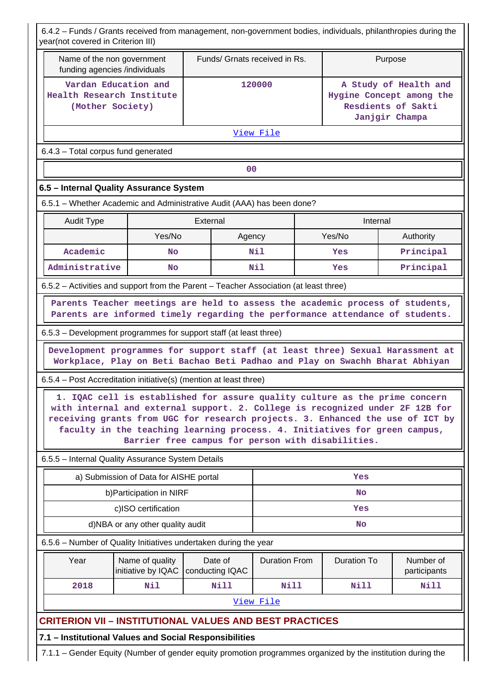6.4.2 – Funds / Grants received from management, non-government bodies, individuals, philanthropies during the year(not covered in Criterion III)

|                                                                                                                                                                                                                                                                                                                              | Name of the non government<br>funding agencies /individuals | Funds/ Grnats received in Rs.                     |                      |                                                                                           | Purpose            |                           |  |
|------------------------------------------------------------------------------------------------------------------------------------------------------------------------------------------------------------------------------------------------------------------------------------------------------------------------------|-------------------------------------------------------------|---------------------------------------------------|----------------------|-------------------------------------------------------------------------------------------|--------------------|---------------------------|--|
| Vardan Education and<br>Health Research Institute<br>(Mother Society)                                                                                                                                                                                                                                                        |                                                             | 120000                                            |                      | A Study of Health and<br>Hygine Concept among the<br>Resdients of Sakti<br>Janjgir Champa |                    |                           |  |
|                                                                                                                                                                                                                                                                                                                              |                                                             |                                                   | View File            |                                                                                           |                    |                           |  |
| 6.4.3 - Total corpus fund generated                                                                                                                                                                                                                                                                                          |                                                             |                                                   |                      |                                                                                           |                    |                           |  |
|                                                                                                                                                                                                                                                                                                                              |                                                             |                                                   | 0 <sub>0</sub>       |                                                                                           |                    |                           |  |
| 6.5 - Internal Quality Assurance System                                                                                                                                                                                                                                                                                      |                                                             |                                                   |                      |                                                                                           |                    |                           |  |
| 6.5.1 – Whether Academic and Administrative Audit (AAA) has been done?                                                                                                                                                                                                                                                       |                                                             |                                                   |                      |                                                                                           |                    |                           |  |
| Audit Type                                                                                                                                                                                                                                                                                                                   |                                                             | External                                          |                      |                                                                                           | Internal           |                           |  |
|                                                                                                                                                                                                                                                                                                                              | Yes/No                                                      |                                                   | Agency               |                                                                                           | Yes/No             | Authority                 |  |
| Academic                                                                                                                                                                                                                                                                                                                     | <b>No</b>                                                   |                                                   | Nil                  |                                                                                           | Yes                | Principal                 |  |
| Administrative                                                                                                                                                                                                                                                                                                               | <b>No</b>                                                   |                                                   | Nil                  |                                                                                           | Yes                | Principal                 |  |
| 6.5.2 - Activities and support from the Parent - Teacher Association (at least three)                                                                                                                                                                                                                                        |                                                             |                                                   |                      |                                                                                           |                    |                           |  |
| Parents Teacher meetings are held to assess the academic process of students,<br>Parents are informed timely regarding the performance attendance of students.<br>6.5.3 – Development programmes for support staff (at least three)                                                                                          |                                                             |                                                   |                      |                                                                                           |                    |                           |  |
| Development programmes for support staff (at least three) Sexual Harassment at<br>Workplace, Play on Beti Bachao Beti Padhao and Play on Swachh Bharat Abhiyan                                                                                                                                                               |                                                             |                                                   |                      |                                                                                           |                    |                           |  |
|                                                                                                                                                                                                                                                                                                                              |                                                             |                                                   |                      |                                                                                           |                    |                           |  |
|                                                                                                                                                                                                                                                                                                                              |                                                             |                                                   |                      |                                                                                           |                    |                           |  |
| 1. IQAC cell is established for assure quality culture as the prime concern<br>with internal and external support. 2. College is recognized under 2F 12B for<br>receiving grants from UGC for research projects. 3. Enhanced the use of ICT by<br>faculty in the teaching learning process. 4. Initiatives for green campus, |                                                             | Barrier free campus for person with disabilities. |                      |                                                                                           |                    |                           |  |
|                                                                                                                                                                                                                                                                                                                              |                                                             |                                                   |                      |                                                                                           |                    |                           |  |
| a) Submission of Data for AISHE portal                                                                                                                                                                                                                                                                                       |                                                             |                                                   |                      |                                                                                           | Yes                |                           |  |
|                                                                                                                                                                                                                                                                                                                              | b) Participation in NIRF                                    |                                                   |                      |                                                                                           | <b>No</b>          |                           |  |
|                                                                                                                                                                                                                                                                                                                              | c)ISO certification                                         |                                                   |                      |                                                                                           | Yes                |                           |  |
|                                                                                                                                                                                                                                                                                                                              | d)NBA or any other quality audit                            |                                                   |                      |                                                                                           | <b>No</b>          |                           |  |
|                                                                                                                                                                                                                                                                                                                              |                                                             |                                                   |                      |                                                                                           |                    |                           |  |
| 6.5.4 - Post Accreditation initiative(s) (mention at least three)<br>6.5.5 - Internal Quality Assurance System Details<br>6.5.6 - Number of Quality Initiatives undertaken during the year<br>Year                                                                                                                           | Name of quality<br>initiative by IQAC                       | Date of<br>conducting IQAC                        | <b>Duration From</b> |                                                                                           | <b>Duration To</b> | Number of<br>participants |  |
| 2018                                                                                                                                                                                                                                                                                                                         | Nil                                                         | Nill                                              | <b>Nill</b>          |                                                                                           | Nill               | <b>Nill</b>               |  |
|                                                                                                                                                                                                                                                                                                                              |                                                             |                                                   | View File            |                                                                                           |                    |                           |  |
| <b>CRITERION VII - INSTITUTIONAL VALUES AND BEST PRACTICES</b>                                                                                                                                                                                                                                                               |                                                             |                                                   |                      |                                                                                           |                    |                           |  |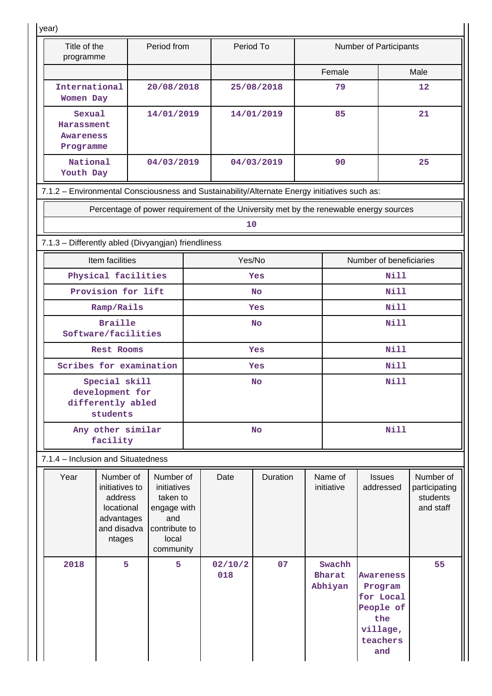| year)                                                                                        |                                                                                             |                                                                                                   |           |                |            |                       |                                    |                                                                                       |                                                     |  |  |
|----------------------------------------------------------------------------------------------|---------------------------------------------------------------------------------------------|---------------------------------------------------------------------------------------------------|-----------|----------------|------------|-----------------------|------------------------------------|---------------------------------------------------------------------------------------|-----------------------------------------------------|--|--|
| Title of the<br>programme                                                                    |                                                                                             | Period from                                                                                       |           | Period To      |            |                       |                                    | <b>Number of Participants</b>                                                         |                                                     |  |  |
|                                                                                              |                                                                                             |                                                                                                   |           |                |            |                       | Female                             |                                                                                       | Male                                                |  |  |
| International<br>Women Day                                                                   |                                                                                             | 20/08/2018                                                                                        |           |                | 25/08/2018 |                       | 79                                 |                                                                                       | 12                                                  |  |  |
| Sexual<br>Harassment<br><b>Awareness</b><br>Programme                                        |                                                                                             | 14/01/2019                                                                                        |           |                | 14/01/2019 |                       | 85                                 |                                                                                       | 21                                                  |  |  |
| National<br>Youth Day                                                                        |                                                                                             | 04/03/2019                                                                                        |           |                | 04/03/2019 |                       | 90                                 |                                                                                       | 25                                                  |  |  |
| 7.1.2 - Environmental Consciousness and Sustainability/Alternate Energy initiatives such as: |                                                                                             |                                                                                                   |           |                |            |                       |                                    |                                                                                       |                                                     |  |  |
|                                                                                              |                                                                                             |                                                                                                   |           |                |            |                       |                                    | Percentage of power requirement of the University met by the renewable energy sources |                                                     |  |  |
|                                                                                              |                                                                                             |                                                                                                   |           | 10             |            |                       |                                    |                                                                                       |                                                     |  |  |
| 7.1.3 - Differently abled (Divyangjan) friendliness                                          |                                                                                             |                                                                                                   |           |                |            |                       |                                    |                                                                                       |                                                     |  |  |
|                                                                                              | Item facilities                                                                             |                                                                                                   |           | Yes/No         |            |                       |                                    | Number of beneficiaries                                                               |                                                     |  |  |
| Physical facilities                                                                          |                                                                                             |                                                                                                   |           |                | Yes        |                       |                                    | <b>Nill</b>                                                                           |                                                     |  |  |
| Provision for lift                                                                           |                                                                                             |                                                                                                   |           |                | <b>No</b>  |                       | <b>Nill</b>                        |                                                                                       |                                                     |  |  |
| Ramp/Rails                                                                                   |                                                                                             |                                                                                                   |           | Yes            |            |                       |                                    | <b>Nill</b>                                                                           |                                                     |  |  |
|                                                                                              | <b>Braille</b><br>Software/facilities                                                       |                                                                                                   |           | <b>No</b>      |            |                       |                                    | <b>Nill</b>                                                                           |                                                     |  |  |
|                                                                                              | Rest Rooms                                                                                  |                                                                                                   | Yes       |                |            |                       |                                    | <b>Nill</b>                                                                           |                                                     |  |  |
|                                                                                              | Scribes for examination                                                                     |                                                                                                   | Yes       |                |            |                       |                                    | <b>Nill</b>                                                                           |                                                     |  |  |
|                                                                                              | Special skill<br>development for<br>differently abled<br>students                           |                                                                                                   | <b>No</b> |                |            |                       | Nill                               |                                                                                       |                                                     |  |  |
|                                                                                              | Any other similar<br>facility                                                               |                                                                                                   | <b>No</b> |                |            |                       | <b>Nill</b>                        |                                                                                       |                                                     |  |  |
| 7.1.4 – Inclusion and Situatedness                                                           |                                                                                             |                                                                                                   |           |                |            |                       |                                    |                                                                                       |                                                     |  |  |
| Year                                                                                         | Number of<br>initiatives to<br>address<br>locational<br>advantages<br>and disadva<br>ntages | Number of<br>initiatives<br>taken to<br>engage with<br>and<br>contribute to<br>local<br>community |           | Date           | Duration   | Name of<br>initiative |                                    | <b>Issues</b><br>addressed                                                            | Number of<br>participating<br>students<br>and staff |  |  |
| 2018                                                                                         | 5                                                                                           | 5                                                                                                 |           | 02/10/2<br>018 | 07         |                       | Swachh<br><b>Bharat</b><br>Abhiyan | Awareness<br>Program<br>for Local<br>People of<br>the<br>village,<br>teachers<br>and  | 55                                                  |  |  |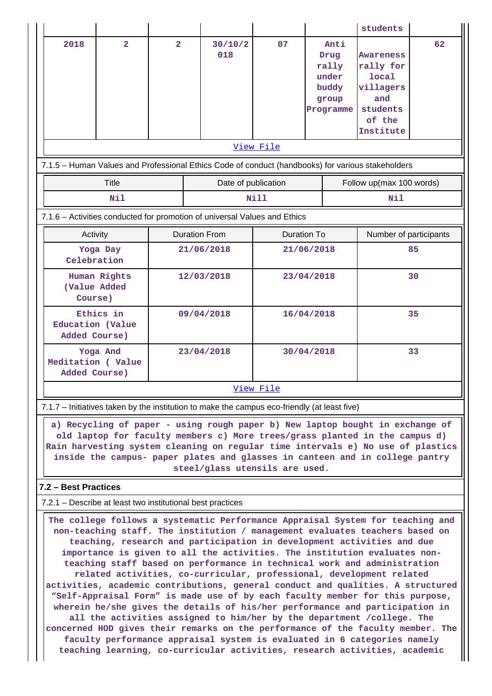|                                                            |                                                                                                                                                                                                                                                                                                                                                                   |                |  |                                                                                                                                                                                                                                                                                                                                                                                                                                                                           |                    |                  |                                                                                                                                                                       | students                 |    |  |
|------------------------------------------------------------|-------------------------------------------------------------------------------------------------------------------------------------------------------------------------------------------------------------------------------------------------------------------------------------------------------------------------------------------------------------------|----------------|--|---------------------------------------------------------------------------------------------------------------------------------------------------------------------------------------------------------------------------------------------------------------------------------------------------------------------------------------------------------------------------------------------------------------------------------------------------------------------------|--------------------|------------------|-----------------------------------------------------------------------------------------------------------------------------------------------------------------------|--------------------------|----|--|
| 2018                                                       | $\overline{\mathbf{2}}$                                                                                                                                                                                                                                                                                                                                           | $\overline{2}$ |  | 30/10/2<br>018                                                                                                                                                                                                                                                                                                                                                                                                                                                            | 07                 |                  | Anti<br>Drug<br><b>Awareness</b><br>rally<br>rally for<br><b>local</b><br>under<br>buddy<br>villagers<br>and<br>group<br>students<br>Programme<br>of the<br>Institute |                          | 62 |  |
|                                                            |                                                                                                                                                                                                                                                                                                                                                                   |                |  | 7.1.5 - Human Values and Professional Ethics Code of conduct (handbooks) for various stakeholders                                                                                                                                                                                                                                                                                                                                                                         | View File          |                  |                                                                                                                                                                       |                          |    |  |
|                                                            | <b>Title</b>                                                                                                                                                                                                                                                                                                                                                      |                |  | Date of publication                                                                                                                                                                                                                                                                                                                                                                                                                                                       |                    |                  |                                                                                                                                                                       | Follow up(max 100 words) |    |  |
|                                                            | Nil                                                                                                                                                                                                                                                                                                                                                               |                |  |                                                                                                                                                                                                                                                                                                                                                                                                                                                                           | <b>Nill</b>        |                  |                                                                                                                                                                       | Nil                      |    |  |
|                                                            |                                                                                                                                                                                                                                                                                                                                                                   |                |  | 7.1.6 - Activities conducted for promotion of universal Values and Ethics                                                                                                                                                                                                                                                                                                                                                                                                 |                    |                  |                                                                                                                                                                       |                          |    |  |
|                                                            | Activity                                                                                                                                                                                                                                                                                                                                                          |                |  | <b>Duration From</b>                                                                                                                                                                                                                                                                                                                                                                                                                                                      | <b>Duration To</b> |                  |                                                                                                                                                                       | Number of participants   |    |  |
|                                                            | Yoga Day<br>Celebration                                                                                                                                                                                                                                                                                                                                           |                |  | 21/06/2018                                                                                                                                                                                                                                                                                                                                                                                                                                                                |                    | 85<br>21/06/2018 |                                                                                                                                                                       |                          |    |  |
|                                                            | Human Rights<br>(Value Added<br>Course)                                                                                                                                                                                                                                                                                                                           |                |  | 12/03/2018                                                                                                                                                                                                                                                                                                                                                                                                                                                                |                    |                  | 23/04/2018<br>30                                                                                                                                                      |                          |    |  |
| Added Course)                                              | Ethics in<br>Education (Value                                                                                                                                                                                                                                                                                                                                     |                |  | 09/04/2018                                                                                                                                                                                                                                                                                                                                                                                                                                                                | 16/04/2018         |                  |                                                                                                                                                                       |                          | 35 |  |
| Added Course)                                              | Yoga And<br>Meditation (Value                                                                                                                                                                                                                                                                                                                                     |                |  | 23/04/2018                                                                                                                                                                                                                                                                                                                                                                                                                                                                |                    | 33<br>30/04/2018 |                                                                                                                                                                       |                          |    |  |
|                                                            |                                                                                                                                                                                                                                                                                                                                                                   |                |  |                                                                                                                                                                                                                                                                                                                                                                                                                                                                           | View File          |                  |                                                                                                                                                                       |                          |    |  |
|                                                            |                                                                                                                                                                                                                                                                                                                                                                   |                |  | 7.1.7 – Initiatives taken by the institution to make the campus eco-friendly (at least five)                                                                                                                                                                                                                                                                                                                                                                              |                    |                  |                                                                                                                                                                       |                          |    |  |
|                                                            | a) Recycling of paper - using rough paper b) New laptop bought in exchange of<br>old laptop for faculty members c) More trees/grass planted in the campus d)<br>Rain harvesting system cleaning on regular time intervals e) No use of plastics<br>inside the campus- paper plates and glasses in canteen and in college pantry<br>steel/glass utensils are used. |                |  |                                                                                                                                                                                                                                                                                                                                                                                                                                                                           |                    |                  |                                                                                                                                                                       |                          |    |  |
| 7.2 - Best Practices                                       |                                                                                                                                                                                                                                                                                                                                                                   |                |  |                                                                                                                                                                                                                                                                                                                                                                                                                                                                           |                    |                  |                                                                                                                                                                       |                          |    |  |
| 7.2.1 – Describe at least two institutional best practices |                                                                                                                                                                                                                                                                                                                                                                   |                |  |                                                                                                                                                                                                                                                                                                                                                                                                                                                                           |                    |                  |                                                                                                                                                                       |                          |    |  |
|                                                            |                                                                                                                                                                                                                                                                                                                                                                   |                |  | The college follows a systematic Performance Appraisal System for teaching and<br>non-teaching staff. The institution / management evaluates teachers based on<br>teaching, research and participation in development activities and due<br>importance is given to all the activities. The institution evaluates non-<br>teaching staff based on performance in technical work and administration<br>related activities, co-curricular, professional, development related |                    |                  |                                                                                                                                                                       |                          |    |  |

**activities, academic contributions, general conduct and qualities. A structured "Self-Appraisal Form" is made use of by each faculty member for this purpose, wherein he/she gives the details of his/her performance and participation in all the activities assigned to him/her by the department /college. The**

**concerned HOD gives their remarks on the performance of the faculty member. The faculty performance appraisal system is evaluated in 6 categories namely teaching learning, co-curricular activities, research activities, academic**